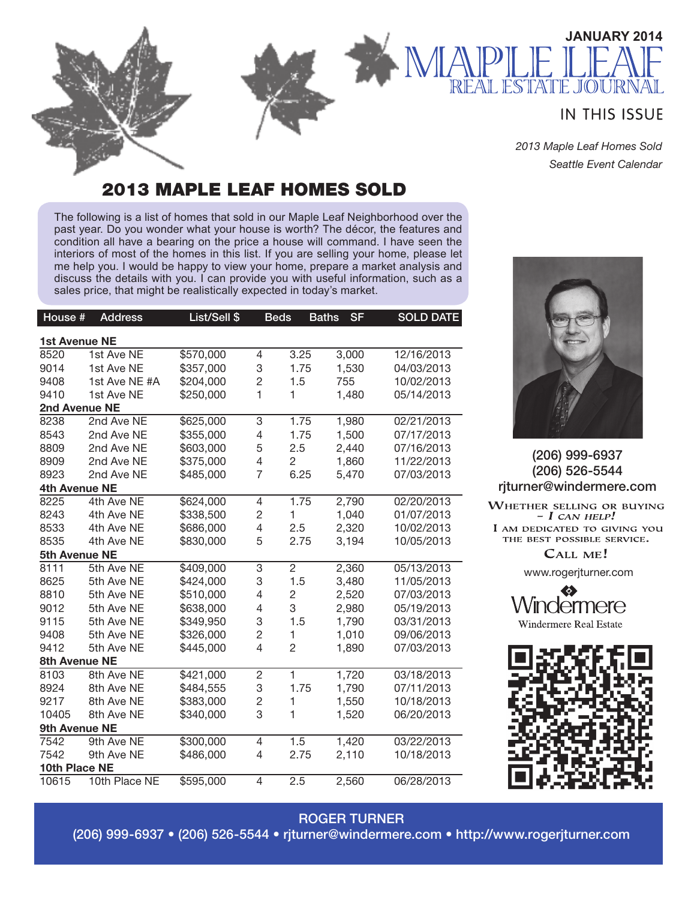#### **IN THIS ISSUE**

**JANUARY 2014**

*2013 Maple Leaf Homes Sold Seattle Event Calendar*

**JOU** 

#### 2013 MAPLE LEAF HOMES SOLD

The following is a list of homes that sold in our Maple Leaf Neighborhood over the past year. Do you wonder what your house is worth? The décor, the features and condition all have a bearing on the price a house will command. I have seen the interiors of most of the homes in this list. If you are selling your home, please let me help you. I would be happy to view your home, prepare a market analysis and discuss the details with you. I can provide you with useful information, such as a sales price, that might be realistically expected in today's market.

| House #              | <b>Address</b> | List/Sell \$ | <b>Beds</b>    |                | <b>SF</b><br><b>Baths</b> | <b>SOLD DATE</b> |  |  |  |  |
|----------------------|----------------|--------------|----------------|----------------|---------------------------|------------------|--|--|--|--|
| 1st Avenue NE        |                |              |                |                |                           |                  |  |  |  |  |
| 8520                 | 1st Ave NE     | \$570,000    | 4              | 3.25           | 3,000                     | 12/16/2013       |  |  |  |  |
| 9014                 | 1st Ave NE     | \$357,000    | 3              | 1.75           | 1,530                     | 04/03/2013       |  |  |  |  |
| 9408                 | 1st Ave NE #A  | \$204,000    | $\overline{c}$ | 1.5            | 755                       | 10/02/2013       |  |  |  |  |
| 9410                 | 1st Ave NE     | \$250,000    | 1              | $\mathbf{1}$   | 1,480                     | 05/14/2013       |  |  |  |  |
| 2nd Avenue NE        |                |              |                |                |                           |                  |  |  |  |  |
| 8238                 | 2nd Ave NE     | \$625,000    | 3              | 1.75           | 1,980                     | 02/21/2013       |  |  |  |  |
| 8543                 | 2nd Ave NE     | \$355,000    | 4              | 1.75           | 1,500                     | 07/17/2013       |  |  |  |  |
| 8809                 | 2nd Ave NE     | \$603,000    | 5              | 2.5            | 2,440                     | 07/16/2013       |  |  |  |  |
| 8909                 | 2nd Ave NE     | \$375,000    | 4              | $\overline{2}$ | 1,860                     | 11/22/2013       |  |  |  |  |
| 8923                 | 2nd Ave NE     | \$485,000    | $\overline{7}$ | 6.25           | 5,470                     | 07/03/2013       |  |  |  |  |
| <b>4th Avenue NE</b> |                |              |                |                |                           |                  |  |  |  |  |
| 8225                 | 4th Ave NE     | \$624,000    | 4              | 1.75           | 2,790                     | 02/20/2013       |  |  |  |  |
| 8243                 | 4th Ave NE     | \$338,500    | $\overline{c}$ | 1              | 1,040                     | 01/07/2013       |  |  |  |  |
| 8533                 | 4th Ave NE     | \$686,000    | 4              | 2.5            | 2,320                     | 10/02/2013       |  |  |  |  |
| 8535                 | 4th Ave NE     | \$830,000    | 5              | 2.75           | 3,194                     | 10/05/2013       |  |  |  |  |
| 5th Avenue NE        |                |              |                |                |                           |                  |  |  |  |  |
| 8111                 | 5th Ave NE     | \$409,000    | 3              | $\overline{2}$ | 2,360                     | 05/13/2013       |  |  |  |  |
| 8625                 | 5th Ave NE     | \$424,000    | 3              | 1.5            | 3,480                     | 11/05/2013       |  |  |  |  |
| 8810                 | 5th Ave NE     | \$510,000    | 4              | $\overline{c}$ | 2,520                     | 07/03/2013       |  |  |  |  |
| 9012                 | 5th Ave NE     | \$638,000    | 4              | 3              | 2,980                     | 05/19/2013       |  |  |  |  |
| 9115                 | 5th Ave NE     | \$349,950    | 3              | 1.5            | 1,790                     | 03/31/2013       |  |  |  |  |
| 9408                 | 5th Ave NE     | \$326,000    | 2              | 1              | 1,010                     | 09/06/2013       |  |  |  |  |
| 9412                 | 5th Ave NE     | \$445,000    | 4              | $\overline{2}$ | 1,890                     | 07/03/2013       |  |  |  |  |
| 8th Avenue NE        |                |              |                |                |                           |                  |  |  |  |  |
| 8103                 | 8th Ave NE     | \$421,000    | $\overline{c}$ | $\mathbf{1}$   | 1,720                     | 03/18/2013       |  |  |  |  |
| 8924                 | 8th Ave NE     | \$484,555    | 3              | 1.75           | 1,790                     | 07/11/2013       |  |  |  |  |
| 9217                 | 8th Ave NE     | \$383,000    | 2              | 1              | 1,550                     | 10/18/2013       |  |  |  |  |
| 10405                | 8th Ave NE     | \$340,000    | 3              | 1              | 1,520                     | 06/20/2013       |  |  |  |  |
| 9th Avenue NE        |                |              |                |                |                           |                  |  |  |  |  |
| 7542                 | 9th Ave NE     | \$300,000    | 4              | 1.5            | 1,420                     | 03/22/2013       |  |  |  |  |
| 7542                 | 9th Ave NE     | \$486,000    | 4              | 2.75           | 2,110                     | 10/18/2013       |  |  |  |  |
| 10th Place NE        |                |              |                |                |                           |                  |  |  |  |  |
| 10615                | 10th Place NE  | \$595,000    | 4              | 2.5            | 2,560                     | 06/28/2013       |  |  |  |  |



#### (206) 999-6937 (206) 526-5544 rjturner@windermere.com

WHETHER SELLING OR BUYING  $- I$  CAN HELP! I AM DEDICATED TO GIVING YOU THE BEST POSSIBLE SERVICE.

CALL ME!

www.rogerjturner.com



#### ROGER TURNER

(206) 999-6937 • (206) 526-5544 • rjturner@windermere.com • http://www.rogerjturner.com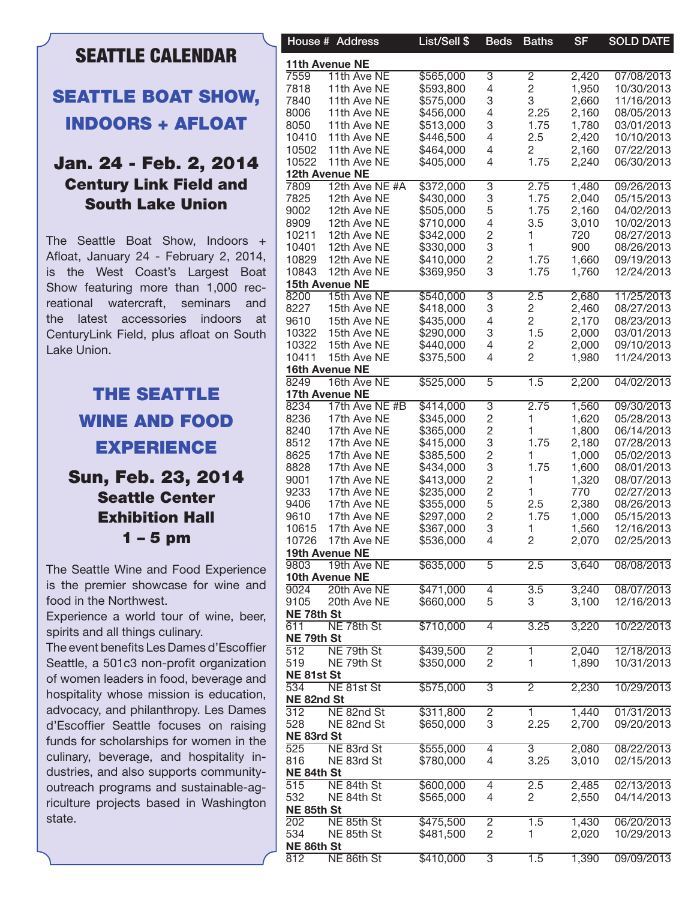## SEATTLE CALENDAR

# SEATTLE BOAT SHOW, INDOORS + AFLOAT

#### Jan. 24 - Feb. 2, 2014 Century Link Field and South Lake Union

The Seattle Boat Show, Indoors + Afloat, January 24 - February 2, 2014, is the West Coast's Largest Boat Show featuring more than 1,000 recreational watercraft, seminars and the latest accessories indoors at CenturyLink Field, plus afloat on South Lake Union.

# THE SEATTLE WINE AND FOOD EXPERIENCE

### Sun, Feb. 23, 2014 Seattle Center Exhibition Hall 1 – 5 pm

The Seattle Wine and Food Experience is the premier showcase for wine and food in the Northwest.

Experience a world tour of wine, beer, spirits and all things culinary.

The event benefits Les Dames d'Escoffier Seattle, a 501c3 non-profit organization of women leaders in food, beverage and hospitality whose mission is education, advocacy, and philanthropy. Les Dames d'Escoffier Seattle focuses on raising funds for scholarships for women in the culinary, beverage, and hospitality industries, and also supports communityoutreach programs and sustainable-agriculture projects based in Washington state.

| 11th Avenue NE<br>\$565,000<br>2,420<br>07/08/2013<br>11th Ave NE<br>3<br>2<br>4<br>2<br>11th Ave NE<br>\$593,800<br>1,950<br>10/30/2013<br>3<br>3<br>\$575,000<br>2,660<br>11/16/2013<br>11th Ave NE<br>4<br>2.25<br>11th Ave NE<br>\$456,000<br>2,160<br>08/05/2013<br>3<br>11th Ave NE<br>\$513,000<br>1.75<br>1,780<br>03/01/2013<br>10410<br>\$446,500<br>4<br>2.5<br>2,420<br>10/10/2013<br>11th Ave NE<br>10502<br>11th Ave NE<br>2,160<br>\$464,000<br>4<br>2<br>07/22/2013<br>10522<br>1.75<br>11th Ave NE<br>\$405,000<br>4<br>2,240<br>06/30/2013<br>12th Avenue NE<br>\$372,000<br>7809<br>12th Ave NE #A<br>$\overline{3}$<br>2.75<br>1,480<br>09/26/2013<br>3<br>7825<br>\$430,000<br>1.75<br>2,040<br>05/15/2013<br>12th Ave NE<br>5<br>9002<br>\$505,000<br>1.75<br>2,160<br>04/02/2013<br>12th Ave NE<br>12th Ave NE<br>4<br>3.5<br>3,010<br>10/02/2013<br>8909<br>\$710,000<br>$\overline{c}$<br>12th Ave NE<br>720<br>08/27/2013<br>\$342,000<br>3<br>12th Ave NE<br>\$330,000<br>900<br>08/26/2013<br>$\overline{c}$<br>10829<br>12th Ave NE<br>\$410,000<br>1.75<br>1,660<br>09/19/2013<br>10843<br>3<br>12th Ave NE<br>\$369,950<br>1.75<br>1,760<br>12/24/2013<br>15th Avenue NE<br>8200<br>\$540,000<br>11/25/2013<br>15th Ave NE<br>3<br>2.5<br>2,680<br>3<br>8227<br>15th Ave NE<br>\$418,000<br>2<br>2,460<br>08/27/2013<br>4<br>9610<br>\$435,000<br>2<br>2,170<br>08/23/2013<br>15th Ave NE<br>1.5<br>3<br>10322<br>15th Ave NE<br>\$290,000<br>2,000<br>03/01/2013<br>10322<br>15th Ave NE<br>\$440,000<br>4<br>2<br>2,000<br>09/10/2013<br>10411<br>2<br>\$375,500<br>4<br>1,980<br>15th Ave NE<br>11/24/2013<br>16th Avenue NE<br>16th Ave NE<br>\$525,000<br>2,200<br>04/02/2013<br>5<br>1.5<br>17th Avenue NE<br>17th Ave NE #B<br>\$414,000<br>$\overline{3}$<br>2.75<br>1,560<br>09/30/2013<br>$\overline{c}$<br>1,620<br>8236<br>\$345,000<br>05/28/2013<br>17th Ave NE<br>$\overline{c}$<br>1,800<br>8240<br>\$365,000<br>06/14/2013<br>17th Ave NE<br>3<br>8512<br>17th Ave NE<br>1.75<br>2,180<br>\$415,000<br>07/28/2013<br>$\overline{c}$<br>8625<br>1,000<br>17th Ave NE<br>\$385,500<br>05/02/2013<br>3<br>1.75<br>8828<br>\$434,000<br>1,600<br>17th Ave NE<br>08/01/2013<br>$\overline{c}$<br>\$413,000<br>1,320<br>08/07/2013<br>17th Ave NE<br>$\overline{\mathbf{c}}$<br>\$235,000<br>17th Ave NE<br>770<br>02/27/2013<br>5<br>2.5<br>2,380<br>17th Ave NE<br>\$355,000<br>08/26/2013<br>$\overline{c}$<br>1.75<br>1,000<br>9610<br>17th Ave NE<br>\$297,000<br>05/15/2013<br>10615<br>3<br>1/th Ave NE<br>\$367,000<br>1,560<br>12/16/2013<br>\$536,000<br>2,070<br>10726<br>17th Ave NE<br>4<br>2<br>02/25/2013<br>19th Avenue NE<br>\$635,000<br>08/08/2013<br>9803<br>19th Ave NE<br>5<br>2.5<br>3,640<br>10th Avenue NE<br>20th Ave NE<br>\$471,000<br>08/07/2013<br>3.5<br>3,240<br>4<br>5<br>20th Ave NE<br>\$660,000<br>3<br>3,100<br>12/16/2013<br>NE 78th St<br>611<br>NE 78th St<br>\$710,000<br>10/22/2013<br>3.25<br>3,220<br>4<br>NE 79th St<br>$\overline{512}$<br>NE 79th St<br>\$439,500<br>12/18/2013<br>2<br>2,040<br>2<br>519<br>NE 79th St<br>\$350,000<br>1,890<br>10/31/2013<br>NE 81st St<br>NE 81st St<br>\$575,000<br>10/29/2013<br>3<br>2<br>2,230<br>NE 82nd St<br>\$311,800<br>01/31/2013<br>NE 82nd St<br>$\overline{2}$<br>1,440<br>3<br>\$650,000<br>2.25<br>2,700<br>NE 82nd St<br>09/20/2013<br>NE 83rd St<br>525<br>NE 83rd St<br>\$555,000<br>2,080<br>08/22/2013<br>3<br>4<br>3.25<br>3,010<br>816<br>NE 83rd St<br>\$780,000<br>4<br>02/15/2013<br>NE 84th St<br>515<br>NE 84th St<br>\$600,000<br>2.5<br>2,485<br>02/13/2013<br>4<br>\$565,000<br>$\overline{2}$<br>2,550<br>532<br>NE 84th St<br>4<br>04/14/2013<br>NE 85th St<br>NE 85th St<br>\$475,500<br>1,430<br>06/20/2013<br>2<br>1.5<br>$\overline{2}$<br>NE 85th St<br>\$481,500<br>2,020<br>10/29/2013<br>NE 86th St<br>812<br>NE 86th St<br>\$410,000<br>09/09/2013<br>$\overline{3}$<br>1.5<br>1,390 |                  | House # Address | List/Sell \$ | <b>Beds</b> | <b>Baths</b> | <b>SF</b> | <b>SOLD DATE</b> |
|-----------------------------------------------------------------------------------------------------------------------------------------------------------------------------------------------------------------------------------------------------------------------------------------------------------------------------------------------------------------------------------------------------------------------------------------------------------------------------------------------------------------------------------------------------------------------------------------------------------------------------------------------------------------------------------------------------------------------------------------------------------------------------------------------------------------------------------------------------------------------------------------------------------------------------------------------------------------------------------------------------------------------------------------------------------------------------------------------------------------------------------------------------------------------------------------------------------------------------------------------------------------------------------------------------------------------------------------------------------------------------------------------------------------------------------------------------------------------------------------------------------------------------------------------------------------------------------------------------------------------------------------------------------------------------------------------------------------------------------------------------------------------------------------------------------------------------------------------------------------------------------------------------------------------------------------------------------------------------------------------------------------------------------------------------------------------------------------------------------------------------------------------------------------------------------------------------------------------------------------------------------------------------------------------------------------------------------------------------------------------------------------------------------------------------------------------------------------------------------------------------------------------------------------------------------------------------------------------------------------------------------------------------------------------------------------------------------------------------------------------------------------------------------------------------------------------------------------------------------------------------------------------------------------------------------------------------------------------------------------------------------------------------------------------------------------------------------------------------------------------------------------------------------------------------------------------------------------------------------------------------------------------------------------------------------------------------------------------------------------------------------------------------------------------------------------------------------------------------------------------------------------------------------------------------------------------------------------------------------------------------------------------------------------------------------------------------------------------------------------------------------------------------------------------------------------------------------------------------------------------------------------------------------------------------------------------------------|------------------|-----------------|--------------|-------------|--------------|-----------|------------------|
|                                                                                                                                                                                                                                                                                                                                                                                                                                                                                                                                                                                                                                                                                                                                                                                                                                                                                                                                                                                                                                                                                                                                                                                                                                                                                                                                                                                                                                                                                                                                                                                                                                                                                                                                                                                                                                                                                                                                                                                                                                                                                                                                                                                                                                                                                                                                                                                                                                                                                                                                                                                                                                                                                                                                                                                                                                                                                                                                                                                                                                                                                                                                                                                                                                                                                                                                                                                                                                                                                                                                                                                                                                                                                                                                                                                                                                                                                                                                                           |                  |                 |              |             |              |           |                  |
|                                                                                                                                                                                                                                                                                                                                                                                                                                                                                                                                                                                                                                                                                                                                                                                                                                                                                                                                                                                                                                                                                                                                                                                                                                                                                                                                                                                                                                                                                                                                                                                                                                                                                                                                                                                                                                                                                                                                                                                                                                                                                                                                                                                                                                                                                                                                                                                                                                                                                                                                                                                                                                                                                                                                                                                                                                                                                                                                                                                                                                                                                                                                                                                                                                                                                                                                                                                                                                                                                                                                                                                                                                                                                                                                                                                                                                                                                                                                                           | 7559             |                 |              |             |              |           |                  |
|                                                                                                                                                                                                                                                                                                                                                                                                                                                                                                                                                                                                                                                                                                                                                                                                                                                                                                                                                                                                                                                                                                                                                                                                                                                                                                                                                                                                                                                                                                                                                                                                                                                                                                                                                                                                                                                                                                                                                                                                                                                                                                                                                                                                                                                                                                                                                                                                                                                                                                                                                                                                                                                                                                                                                                                                                                                                                                                                                                                                                                                                                                                                                                                                                                                                                                                                                                                                                                                                                                                                                                                                                                                                                                                                                                                                                                                                                                                                                           | 7818             |                 |              |             |              |           |                  |
|                                                                                                                                                                                                                                                                                                                                                                                                                                                                                                                                                                                                                                                                                                                                                                                                                                                                                                                                                                                                                                                                                                                                                                                                                                                                                                                                                                                                                                                                                                                                                                                                                                                                                                                                                                                                                                                                                                                                                                                                                                                                                                                                                                                                                                                                                                                                                                                                                                                                                                                                                                                                                                                                                                                                                                                                                                                                                                                                                                                                                                                                                                                                                                                                                                                                                                                                                                                                                                                                                                                                                                                                                                                                                                                                                                                                                                                                                                                                                           | 7840             |                 |              |             |              |           |                  |
|                                                                                                                                                                                                                                                                                                                                                                                                                                                                                                                                                                                                                                                                                                                                                                                                                                                                                                                                                                                                                                                                                                                                                                                                                                                                                                                                                                                                                                                                                                                                                                                                                                                                                                                                                                                                                                                                                                                                                                                                                                                                                                                                                                                                                                                                                                                                                                                                                                                                                                                                                                                                                                                                                                                                                                                                                                                                                                                                                                                                                                                                                                                                                                                                                                                                                                                                                                                                                                                                                                                                                                                                                                                                                                                                                                                                                                                                                                                                                           | 8006             |                 |              |             |              |           |                  |
|                                                                                                                                                                                                                                                                                                                                                                                                                                                                                                                                                                                                                                                                                                                                                                                                                                                                                                                                                                                                                                                                                                                                                                                                                                                                                                                                                                                                                                                                                                                                                                                                                                                                                                                                                                                                                                                                                                                                                                                                                                                                                                                                                                                                                                                                                                                                                                                                                                                                                                                                                                                                                                                                                                                                                                                                                                                                                                                                                                                                                                                                                                                                                                                                                                                                                                                                                                                                                                                                                                                                                                                                                                                                                                                                                                                                                                                                                                                                                           | 8050             |                 |              |             |              |           |                  |
|                                                                                                                                                                                                                                                                                                                                                                                                                                                                                                                                                                                                                                                                                                                                                                                                                                                                                                                                                                                                                                                                                                                                                                                                                                                                                                                                                                                                                                                                                                                                                                                                                                                                                                                                                                                                                                                                                                                                                                                                                                                                                                                                                                                                                                                                                                                                                                                                                                                                                                                                                                                                                                                                                                                                                                                                                                                                                                                                                                                                                                                                                                                                                                                                                                                                                                                                                                                                                                                                                                                                                                                                                                                                                                                                                                                                                                                                                                                                                           |                  |                 |              |             |              |           |                  |
|                                                                                                                                                                                                                                                                                                                                                                                                                                                                                                                                                                                                                                                                                                                                                                                                                                                                                                                                                                                                                                                                                                                                                                                                                                                                                                                                                                                                                                                                                                                                                                                                                                                                                                                                                                                                                                                                                                                                                                                                                                                                                                                                                                                                                                                                                                                                                                                                                                                                                                                                                                                                                                                                                                                                                                                                                                                                                                                                                                                                                                                                                                                                                                                                                                                                                                                                                                                                                                                                                                                                                                                                                                                                                                                                                                                                                                                                                                                                                           |                  |                 |              |             |              |           |                  |
|                                                                                                                                                                                                                                                                                                                                                                                                                                                                                                                                                                                                                                                                                                                                                                                                                                                                                                                                                                                                                                                                                                                                                                                                                                                                                                                                                                                                                                                                                                                                                                                                                                                                                                                                                                                                                                                                                                                                                                                                                                                                                                                                                                                                                                                                                                                                                                                                                                                                                                                                                                                                                                                                                                                                                                                                                                                                                                                                                                                                                                                                                                                                                                                                                                                                                                                                                                                                                                                                                                                                                                                                                                                                                                                                                                                                                                                                                                                                                           |                  |                 |              |             |              |           |                  |
|                                                                                                                                                                                                                                                                                                                                                                                                                                                                                                                                                                                                                                                                                                                                                                                                                                                                                                                                                                                                                                                                                                                                                                                                                                                                                                                                                                                                                                                                                                                                                                                                                                                                                                                                                                                                                                                                                                                                                                                                                                                                                                                                                                                                                                                                                                                                                                                                                                                                                                                                                                                                                                                                                                                                                                                                                                                                                                                                                                                                                                                                                                                                                                                                                                                                                                                                                                                                                                                                                                                                                                                                                                                                                                                                                                                                                                                                                                                                                           |                  |                 |              |             |              |           |                  |
|                                                                                                                                                                                                                                                                                                                                                                                                                                                                                                                                                                                                                                                                                                                                                                                                                                                                                                                                                                                                                                                                                                                                                                                                                                                                                                                                                                                                                                                                                                                                                                                                                                                                                                                                                                                                                                                                                                                                                                                                                                                                                                                                                                                                                                                                                                                                                                                                                                                                                                                                                                                                                                                                                                                                                                                                                                                                                                                                                                                                                                                                                                                                                                                                                                                                                                                                                                                                                                                                                                                                                                                                                                                                                                                                                                                                                                                                                                                                                           |                  |                 |              |             |              |           |                  |
|                                                                                                                                                                                                                                                                                                                                                                                                                                                                                                                                                                                                                                                                                                                                                                                                                                                                                                                                                                                                                                                                                                                                                                                                                                                                                                                                                                                                                                                                                                                                                                                                                                                                                                                                                                                                                                                                                                                                                                                                                                                                                                                                                                                                                                                                                                                                                                                                                                                                                                                                                                                                                                                                                                                                                                                                                                                                                                                                                                                                                                                                                                                                                                                                                                                                                                                                                                                                                                                                                                                                                                                                                                                                                                                                                                                                                                                                                                                                                           |                  |                 |              |             |              |           |                  |
|                                                                                                                                                                                                                                                                                                                                                                                                                                                                                                                                                                                                                                                                                                                                                                                                                                                                                                                                                                                                                                                                                                                                                                                                                                                                                                                                                                                                                                                                                                                                                                                                                                                                                                                                                                                                                                                                                                                                                                                                                                                                                                                                                                                                                                                                                                                                                                                                                                                                                                                                                                                                                                                                                                                                                                                                                                                                                                                                                                                                                                                                                                                                                                                                                                                                                                                                                                                                                                                                                                                                                                                                                                                                                                                                                                                                                                                                                                                                                           |                  |                 |              |             |              |           |                  |
|                                                                                                                                                                                                                                                                                                                                                                                                                                                                                                                                                                                                                                                                                                                                                                                                                                                                                                                                                                                                                                                                                                                                                                                                                                                                                                                                                                                                                                                                                                                                                                                                                                                                                                                                                                                                                                                                                                                                                                                                                                                                                                                                                                                                                                                                                                                                                                                                                                                                                                                                                                                                                                                                                                                                                                                                                                                                                                                                                                                                                                                                                                                                                                                                                                                                                                                                                                                                                                                                                                                                                                                                                                                                                                                                                                                                                                                                                                                                                           |                  |                 |              |             |              |           |                  |
|                                                                                                                                                                                                                                                                                                                                                                                                                                                                                                                                                                                                                                                                                                                                                                                                                                                                                                                                                                                                                                                                                                                                                                                                                                                                                                                                                                                                                                                                                                                                                                                                                                                                                                                                                                                                                                                                                                                                                                                                                                                                                                                                                                                                                                                                                                                                                                                                                                                                                                                                                                                                                                                                                                                                                                                                                                                                                                                                                                                                                                                                                                                                                                                                                                                                                                                                                                                                                                                                                                                                                                                                                                                                                                                                                                                                                                                                                                                                                           |                  |                 |              |             |              |           |                  |
|                                                                                                                                                                                                                                                                                                                                                                                                                                                                                                                                                                                                                                                                                                                                                                                                                                                                                                                                                                                                                                                                                                                                                                                                                                                                                                                                                                                                                                                                                                                                                                                                                                                                                                                                                                                                                                                                                                                                                                                                                                                                                                                                                                                                                                                                                                                                                                                                                                                                                                                                                                                                                                                                                                                                                                                                                                                                                                                                                                                                                                                                                                                                                                                                                                                                                                                                                                                                                                                                                                                                                                                                                                                                                                                                                                                                                                                                                                                                                           | 10211            |                 |              |             |              |           |                  |
|                                                                                                                                                                                                                                                                                                                                                                                                                                                                                                                                                                                                                                                                                                                                                                                                                                                                                                                                                                                                                                                                                                                                                                                                                                                                                                                                                                                                                                                                                                                                                                                                                                                                                                                                                                                                                                                                                                                                                                                                                                                                                                                                                                                                                                                                                                                                                                                                                                                                                                                                                                                                                                                                                                                                                                                                                                                                                                                                                                                                                                                                                                                                                                                                                                                                                                                                                                                                                                                                                                                                                                                                                                                                                                                                                                                                                                                                                                                                                           | 10401            |                 |              |             |              |           |                  |
|                                                                                                                                                                                                                                                                                                                                                                                                                                                                                                                                                                                                                                                                                                                                                                                                                                                                                                                                                                                                                                                                                                                                                                                                                                                                                                                                                                                                                                                                                                                                                                                                                                                                                                                                                                                                                                                                                                                                                                                                                                                                                                                                                                                                                                                                                                                                                                                                                                                                                                                                                                                                                                                                                                                                                                                                                                                                                                                                                                                                                                                                                                                                                                                                                                                                                                                                                                                                                                                                                                                                                                                                                                                                                                                                                                                                                                                                                                                                                           |                  |                 |              |             |              |           |                  |
|                                                                                                                                                                                                                                                                                                                                                                                                                                                                                                                                                                                                                                                                                                                                                                                                                                                                                                                                                                                                                                                                                                                                                                                                                                                                                                                                                                                                                                                                                                                                                                                                                                                                                                                                                                                                                                                                                                                                                                                                                                                                                                                                                                                                                                                                                                                                                                                                                                                                                                                                                                                                                                                                                                                                                                                                                                                                                                                                                                                                                                                                                                                                                                                                                                                                                                                                                                                                                                                                                                                                                                                                                                                                                                                                                                                                                                                                                                                                                           |                  |                 |              |             |              |           |                  |
|                                                                                                                                                                                                                                                                                                                                                                                                                                                                                                                                                                                                                                                                                                                                                                                                                                                                                                                                                                                                                                                                                                                                                                                                                                                                                                                                                                                                                                                                                                                                                                                                                                                                                                                                                                                                                                                                                                                                                                                                                                                                                                                                                                                                                                                                                                                                                                                                                                                                                                                                                                                                                                                                                                                                                                                                                                                                                                                                                                                                                                                                                                                                                                                                                                                                                                                                                                                                                                                                                                                                                                                                                                                                                                                                                                                                                                                                                                                                                           |                  |                 |              |             |              |           |                  |
|                                                                                                                                                                                                                                                                                                                                                                                                                                                                                                                                                                                                                                                                                                                                                                                                                                                                                                                                                                                                                                                                                                                                                                                                                                                                                                                                                                                                                                                                                                                                                                                                                                                                                                                                                                                                                                                                                                                                                                                                                                                                                                                                                                                                                                                                                                                                                                                                                                                                                                                                                                                                                                                                                                                                                                                                                                                                                                                                                                                                                                                                                                                                                                                                                                                                                                                                                                                                                                                                                                                                                                                                                                                                                                                                                                                                                                                                                                                                                           |                  |                 |              |             |              |           |                  |
|                                                                                                                                                                                                                                                                                                                                                                                                                                                                                                                                                                                                                                                                                                                                                                                                                                                                                                                                                                                                                                                                                                                                                                                                                                                                                                                                                                                                                                                                                                                                                                                                                                                                                                                                                                                                                                                                                                                                                                                                                                                                                                                                                                                                                                                                                                                                                                                                                                                                                                                                                                                                                                                                                                                                                                                                                                                                                                                                                                                                                                                                                                                                                                                                                                                                                                                                                                                                                                                                                                                                                                                                                                                                                                                                                                                                                                                                                                                                                           |                  |                 |              |             |              |           |                  |
|                                                                                                                                                                                                                                                                                                                                                                                                                                                                                                                                                                                                                                                                                                                                                                                                                                                                                                                                                                                                                                                                                                                                                                                                                                                                                                                                                                                                                                                                                                                                                                                                                                                                                                                                                                                                                                                                                                                                                                                                                                                                                                                                                                                                                                                                                                                                                                                                                                                                                                                                                                                                                                                                                                                                                                                                                                                                                                                                                                                                                                                                                                                                                                                                                                                                                                                                                                                                                                                                                                                                                                                                                                                                                                                                                                                                                                                                                                                                                           |                  |                 |              |             |              |           |                  |
|                                                                                                                                                                                                                                                                                                                                                                                                                                                                                                                                                                                                                                                                                                                                                                                                                                                                                                                                                                                                                                                                                                                                                                                                                                                                                                                                                                                                                                                                                                                                                                                                                                                                                                                                                                                                                                                                                                                                                                                                                                                                                                                                                                                                                                                                                                                                                                                                                                                                                                                                                                                                                                                                                                                                                                                                                                                                                                                                                                                                                                                                                                                                                                                                                                                                                                                                                                                                                                                                                                                                                                                                                                                                                                                                                                                                                                                                                                                                                           |                  |                 |              |             |              |           |                  |
|                                                                                                                                                                                                                                                                                                                                                                                                                                                                                                                                                                                                                                                                                                                                                                                                                                                                                                                                                                                                                                                                                                                                                                                                                                                                                                                                                                                                                                                                                                                                                                                                                                                                                                                                                                                                                                                                                                                                                                                                                                                                                                                                                                                                                                                                                                                                                                                                                                                                                                                                                                                                                                                                                                                                                                                                                                                                                                                                                                                                                                                                                                                                                                                                                                                                                                                                                                                                                                                                                                                                                                                                                                                                                                                                                                                                                                                                                                                                                           |                  |                 |              |             |              |           |                  |
|                                                                                                                                                                                                                                                                                                                                                                                                                                                                                                                                                                                                                                                                                                                                                                                                                                                                                                                                                                                                                                                                                                                                                                                                                                                                                                                                                                                                                                                                                                                                                                                                                                                                                                                                                                                                                                                                                                                                                                                                                                                                                                                                                                                                                                                                                                                                                                                                                                                                                                                                                                                                                                                                                                                                                                                                                                                                                                                                                                                                                                                                                                                                                                                                                                                                                                                                                                                                                                                                                                                                                                                                                                                                                                                                                                                                                                                                                                                                                           |                  |                 |              |             |              |           |                  |
|                                                                                                                                                                                                                                                                                                                                                                                                                                                                                                                                                                                                                                                                                                                                                                                                                                                                                                                                                                                                                                                                                                                                                                                                                                                                                                                                                                                                                                                                                                                                                                                                                                                                                                                                                                                                                                                                                                                                                                                                                                                                                                                                                                                                                                                                                                                                                                                                                                                                                                                                                                                                                                                                                                                                                                                                                                                                                                                                                                                                                                                                                                                                                                                                                                                                                                                                                                                                                                                                                                                                                                                                                                                                                                                                                                                                                                                                                                                                                           |                  |                 |              |             |              |           |                  |
|                                                                                                                                                                                                                                                                                                                                                                                                                                                                                                                                                                                                                                                                                                                                                                                                                                                                                                                                                                                                                                                                                                                                                                                                                                                                                                                                                                                                                                                                                                                                                                                                                                                                                                                                                                                                                                                                                                                                                                                                                                                                                                                                                                                                                                                                                                                                                                                                                                                                                                                                                                                                                                                                                                                                                                                                                                                                                                                                                                                                                                                                                                                                                                                                                                                                                                                                                                                                                                                                                                                                                                                                                                                                                                                                                                                                                                                                                                                                                           |                  |                 |              |             |              |           |                  |
|                                                                                                                                                                                                                                                                                                                                                                                                                                                                                                                                                                                                                                                                                                                                                                                                                                                                                                                                                                                                                                                                                                                                                                                                                                                                                                                                                                                                                                                                                                                                                                                                                                                                                                                                                                                                                                                                                                                                                                                                                                                                                                                                                                                                                                                                                                                                                                                                                                                                                                                                                                                                                                                                                                                                                                                                                                                                                                                                                                                                                                                                                                                                                                                                                                                                                                                                                                                                                                                                                                                                                                                                                                                                                                                                                                                                                                                                                                                                                           | 8249             |                 |              |             |              |           |                  |
|                                                                                                                                                                                                                                                                                                                                                                                                                                                                                                                                                                                                                                                                                                                                                                                                                                                                                                                                                                                                                                                                                                                                                                                                                                                                                                                                                                                                                                                                                                                                                                                                                                                                                                                                                                                                                                                                                                                                                                                                                                                                                                                                                                                                                                                                                                                                                                                                                                                                                                                                                                                                                                                                                                                                                                                                                                                                                                                                                                                                                                                                                                                                                                                                                                                                                                                                                                                                                                                                                                                                                                                                                                                                                                                                                                                                                                                                                                                                                           |                  |                 |              |             |              |           |                  |
|                                                                                                                                                                                                                                                                                                                                                                                                                                                                                                                                                                                                                                                                                                                                                                                                                                                                                                                                                                                                                                                                                                                                                                                                                                                                                                                                                                                                                                                                                                                                                                                                                                                                                                                                                                                                                                                                                                                                                                                                                                                                                                                                                                                                                                                                                                                                                                                                                                                                                                                                                                                                                                                                                                                                                                                                                                                                                                                                                                                                                                                                                                                                                                                                                                                                                                                                                                                                                                                                                                                                                                                                                                                                                                                                                                                                                                                                                                                                                           | 8234             |                 |              |             |              |           |                  |
|                                                                                                                                                                                                                                                                                                                                                                                                                                                                                                                                                                                                                                                                                                                                                                                                                                                                                                                                                                                                                                                                                                                                                                                                                                                                                                                                                                                                                                                                                                                                                                                                                                                                                                                                                                                                                                                                                                                                                                                                                                                                                                                                                                                                                                                                                                                                                                                                                                                                                                                                                                                                                                                                                                                                                                                                                                                                                                                                                                                                                                                                                                                                                                                                                                                                                                                                                                                                                                                                                                                                                                                                                                                                                                                                                                                                                                                                                                                                                           |                  |                 |              |             |              |           |                  |
|                                                                                                                                                                                                                                                                                                                                                                                                                                                                                                                                                                                                                                                                                                                                                                                                                                                                                                                                                                                                                                                                                                                                                                                                                                                                                                                                                                                                                                                                                                                                                                                                                                                                                                                                                                                                                                                                                                                                                                                                                                                                                                                                                                                                                                                                                                                                                                                                                                                                                                                                                                                                                                                                                                                                                                                                                                                                                                                                                                                                                                                                                                                                                                                                                                                                                                                                                                                                                                                                                                                                                                                                                                                                                                                                                                                                                                                                                                                                                           |                  |                 |              |             |              |           |                  |
|                                                                                                                                                                                                                                                                                                                                                                                                                                                                                                                                                                                                                                                                                                                                                                                                                                                                                                                                                                                                                                                                                                                                                                                                                                                                                                                                                                                                                                                                                                                                                                                                                                                                                                                                                                                                                                                                                                                                                                                                                                                                                                                                                                                                                                                                                                                                                                                                                                                                                                                                                                                                                                                                                                                                                                                                                                                                                                                                                                                                                                                                                                                                                                                                                                                                                                                                                                                                                                                                                                                                                                                                                                                                                                                                                                                                                                                                                                                                                           |                  |                 |              |             |              |           |                  |
|                                                                                                                                                                                                                                                                                                                                                                                                                                                                                                                                                                                                                                                                                                                                                                                                                                                                                                                                                                                                                                                                                                                                                                                                                                                                                                                                                                                                                                                                                                                                                                                                                                                                                                                                                                                                                                                                                                                                                                                                                                                                                                                                                                                                                                                                                                                                                                                                                                                                                                                                                                                                                                                                                                                                                                                                                                                                                                                                                                                                                                                                                                                                                                                                                                                                                                                                                                                                                                                                                                                                                                                                                                                                                                                                                                                                                                                                                                                                                           |                  |                 |              |             |              |           |                  |
|                                                                                                                                                                                                                                                                                                                                                                                                                                                                                                                                                                                                                                                                                                                                                                                                                                                                                                                                                                                                                                                                                                                                                                                                                                                                                                                                                                                                                                                                                                                                                                                                                                                                                                                                                                                                                                                                                                                                                                                                                                                                                                                                                                                                                                                                                                                                                                                                                                                                                                                                                                                                                                                                                                                                                                                                                                                                                                                                                                                                                                                                                                                                                                                                                                                                                                                                                                                                                                                                                                                                                                                                                                                                                                                                                                                                                                                                                                                                                           |                  |                 |              |             |              |           |                  |
|                                                                                                                                                                                                                                                                                                                                                                                                                                                                                                                                                                                                                                                                                                                                                                                                                                                                                                                                                                                                                                                                                                                                                                                                                                                                                                                                                                                                                                                                                                                                                                                                                                                                                                                                                                                                                                                                                                                                                                                                                                                                                                                                                                                                                                                                                                                                                                                                                                                                                                                                                                                                                                                                                                                                                                                                                                                                                                                                                                                                                                                                                                                                                                                                                                                                                                                                                                                                                                                                                                                                                                                                                                                                                                                                                                                                                                                                                                                                                           |                  |                 |              |             |              |           |                  |
|                                                                                                                                                                                                                                                                                                                                                                                                                                                                                                                                                                                                                                                                                                                                                                                                                                                                                                                                                                                                                                                                                                                                                                                                                                                                                                                                                                                                                                                                                                                                                                                                                                                                                                                                                                                                                                                                                                                                                                                                                                                                                                                                                                                                                                                                                                                                                                                                                                                                                                                                                                                                                                                                                                                                                                                                                                                                                                                                                                                                                                                                                                                                                                                                                                                                                                                                                                                                                                                                                                                                                                                                                                                                                                                                                                                                                                                                                                                                                           | 9001             |                 |              |             |              |           |                  |
|                                                                                                                                                                                                                                                                                                                                                                                                                                                                                                                                                                                                                                                                                                                                                                                                                                                                                                                                                                                                                                                                                                                                                                                                                                                                                                                                                                                                                                                                                                                                                                                                                                                                                                                                                                                                                                                                                                                                                                                                                                                                                                                                                                                                                                                                                                                                                                                                                                                                                                                                                                                                                                                                                                                                                                                                                                                                                                                                                                                                                                                                                                                                                                                                                                                                                                                                                                                                                                                                                                                                                                                                                                                                                                                                                                                                                                                                                                                                                           | 9233             |                 |              |             |              |           |                  |
|                                                                                                                                                                                                                                                                                                                                                                                                                                                                                                                                                                                                                                                                                                                                                                                                                                                                                                                                                                                                                                                                                                                                                                                                                                                                                                                                                                                                                                                                                                                                                                                                                                                                                                                                                                                                                                                                                                                                                                                                                                                                                                                                                                                                                                                                                                                                                                                                                                                                                                                                                                                                                                                                                                                                                                                                                                                                                                                                                                                                                                                                                                                                                                                                                                                                                                                                                                                                                                                                                                                                                                                                                                                                                                                                                                                                                                                                                                                                                           | 9406             |                 |              |             |              |           |                  |
|                                                                                                                                                                                                                                                                                                                                                                                                                                                                                                                                                                                                                                                                                                                                                                                                                                                                                                                                                                                                                                                                                                                                                                                                                                                                                                                                                                                                                                                                                                                                                                                                                                                                                                                                                                                                                                                                                                                                                                                                                                                                                                                                                                                                                                                                                                                                                                                                                                                                                                                                                                                                                                                                                                                                                                                                                                                                                                                                                                                                                                                                                                                                                                                                                                                                                                                                                                                                                                                                                                                                                                                                                                                                                                                                                                                                                                                                                                                                                           |                  |                 |              |             |              |           |                  |
|                                                                                                                                                                                                                                                                                                                                                                                                                                                                                                                                                                                                                                                                                                                                                                                                                                                                                                                                                                                                                                                                                                                                                                                                                                                                                                                                                                                                                                                                                                                                                                                                                                                                                                                                                                                                                                                                                                                                                                                                                                                                                                                                                                                                                                                                                                                                                                                                                                                                                                                                                                                                                                                                                                                                                                                                                                                                                                                                                                                                                                                                                                                                                                                                                                                                                                                                                                                                                                                                                                                                                                                                                                                                                                                                                                                                                                                                                                                                                           |                  |                 |              |             |              |           |                  |
|                                                                                                                                                                                                                                                                                                                                                                                                                                                                                                                                                                                                                                                                                                                                                                                                                                                                                                                                                                                                                                                                                                                                                                                                                                                                                                                                                                                                                                                                                                                                                                                                                                                                                                                                                                                                                                                                                                                                                                                                                                                                                                                                                                                                                                                                                                                                                                                                                                                                                                                                                                                                                                                                                                                                                                                                                                                                                                                                                                                                                                                                                                                                                                                                                                                                                                                                                                                                                                                                                                                                                                                                                                                                                                                                                                                                                                                                                                                                                           |                  |                 |              |             |              |           |                  |
|                                                                                                                                                                                                                                                                                                                                                                                                                                                                                                                                                                                                                                                                                                                                                                                                                                                                                                                                                                                                                                                                                                                                                                                                                                                                                                                                                                                                                                                                                                                                                                                                                                                                                                                                                                                                                                                                                                                                                                                                                                                                                                                                                                                                                                                                                                                                                                                                                                                                                                                                                                                                                                                                                                                                                                                                                                                                                                                                                                                                                                                                                                                                                                                                                                                                                                                                                                                                                                                                                                                                                                                                                                                                                                                                                                                                                                                                                                                                                           |                  |                 |              |             |              |           |                  |
|                                                                                                                                                                                                                                                                                                                                                                                                                                                                                                                                                                                                                                                                                                                                                                                                                                                                                                                                                                                                                                                                                                                                                                                                                                                                                                                                                                                                                                                                                                                                                                                                                                                                                                                                                                                                                                                                                                                                                                                                                                                                                                                                                                                                                                                                                                                                                                                                                                                                                                                                                                                                                                                                                                                                                                                                                                                                                                                                                                                                                                                                                                                                                                                                                                                                                                                                                                                                                                                                                                                                                                                                                                                                                                                                                                                                                                                                                                                                                           |                  |                 |              |             |              |           |                  |
|                                                                                                                                                                                                                                                                                                                                                                                                                                                                                                                                                                                                                                                                                                                                                                                                                                                                                                                                                                                                                                                                                                                                                                                                                                                                                                                                                                                                                                                                                                                                                                                                                                                                                                                                                                                                                                                                                                                                                                                                                                                                                                                                                                                                                                                                                                                                                                                                                                                                                                                                                                                                                                                                                                                                                                                                                                                                                                                                                                                                                                                                                                                                                                                                                                                                                                                                                                                                                                                                                                                                                                                                                                                                                                                                                                                                                                                                                                                                                           |                  |                 |              |             |              |           |                  |
|                                                                                                                                                                                                                                                                                                                                                                                                                                                                                                                                                                                                                                                                                                                                                                                                                                                                                                                                                                                                                                                                                                                                                                                                                                                                                                                                                                                                                                                                                                                                                                                                                                                                                                                                                                                                                                                                                                                                                                                                                                                                                                                                                                                                                                                                                                                                                                                                                                                                                                                                                                                                                                                                                                                                                                                                                                                                                                                                                                                                                                                                                                                                                                                                                                                                                                                                                                                                                                                                                                                                                                                                                                                                                                                                                                                                                                                                                                                                                           |                  |                 |              |             |              |           |                  |
|                                                                                                                                                                                                                                                                                                                                                                                                                                                                                                                                                                                                                                                                                                                                                                                                                                                                                                                                                                                                                                                                                                                                                                                                                                                                                                                                                                                                                                                                                                                                                                                                                                                                                                                                                                                                                                                                                                                                                                                                                                                                                                                                                                                                                                                                                                                                                                                                                                                                                                                                                                                                                                                                                                                                                                                                                                                                                                                                                                                                                                                                                                                                                                                                                                                                                                                                                                                                                                                                                                                                                                                                                                                                                                                                                                                                                                                                                                                                                           | 9024             |                 |              |             |              |           |                  |
|                                                                                                                                                                                                                                                                                                                                                                                                                                                                                                                                                                                                                                                                                                                                                                                                                                                                                                                                                                                                                                                                                                                                                                                                                                                                                                                                                                                                                                                                                                                                                                                                                                                                                                                                                                                                                                                                                                                                                                                                                                                                                                                                                                                                                                                                                                                                                                                                                                                                                                                                                                                                                                                                                                                                                                                                                                                                                                                                                                                                                                                                                                                                                                                                                                                                                                                                                                                                                                                                                                                                                                                                                                                                                                                                                                                                                                                                                                                                                           | 9105             |                 |              |             |              |           |                  |
|                                                                                                                                                                                                                                                                                                                                                                                                                                                                                                                                                                                                                                                                                                                                                                                                                                                                                                                                                                                                                                                                                                                                                                                                                                                                                                                                                                                                                                                                                                                                                                                                                                                                                                                                                                                                                                                                                                                                                                                                                                                                                                                                                                                                                                                                                                                                                                                                                                                                                                                                                                                                                                                                                                                                                                                                                                                                                                                                                                                                                                                                                                                                                                                                                                                                                                                                                                                                                                                                                                                                                                                                                                                                                                                                                                                                                                                                                                                                                           |                  |                 |              |             |              |           |                  |
|                                                                                                                                                                                                                                                                                                                                                                                                                                                                                                                                                                                                                                                                                                                                                                                                                                                                                                                                                                                                                                                                                                                                                                                                                                                                                                                                                                                                                                                                                                                                                                                                                                                                                                                                                                                                                                                                                                                                                                                                                                                                                                                                                                                                                                                                                                                                                                                                                                                                                                                                                                                                                                                                                                                                                                                                                                                                                                                                                                                                                                                                                                                                                                                                                                                                                                                                                                                                                                                                                                                                                                                                                                                                                                                                                                                                                                                                                                                                                           |                  |                 |              |             |              |           |                  |
|                                                                                                                                                                                                                                                                                                                                                                                                                                                                                                                                                                                                                                                                                                                                                                                                                                                                                                                                                                                                                                                                                                                                                                                                                                                                                                                                                                                                                                                                                                                                                                                                                                                                                                                                                                                                                                                                                                                                                                                                                                                                                                                                                                                                                                                                                                                                                                                                                                                                                                                                                                                                                                                                                                                                                                                                                                                                                                                                                                                                                                                                                                                                                                                                                                                                                                                                                                                                                                                                                                                                                                                                                                                                                                                                                                                                                                                                                                                                                           |                  |                 |              |             |              |           |                  |
|                                                                                                                                                                                                                                                                                                                                                                                                                                                                                                                                                                                                                                                                                                                                                                                                                                                                                                                                                                                                                                                                                                                                                                                                                                                                                                                                                                                                                                                                                                                                                                                                                                                                                                                                                                                                                                                                                                                                                                                                                                                                                                                                                                                                                                                                                                                                                                                                                                                                                                                                                                                                                                                                                                                                                                                                                                                                                                                                                                                                                                                                                                                                                                                                                                                                                                                                                                                                                                                                                                                                                                                                                                                                                                                                                                                                                                                                                                                                                           |                  |                 |              |             |              |           |                  |
|                                                                                                                                                                                                                                                                                                                                                                                                                                                                                                                                                                                                                                                                                                                                                                                                                                                                                                                                                                                                                                                                                                                                                                                                                                                                                                                                                                                                                                                                                                                                                                                                                                                                                                                                                                                                                                                                                                                                                                                                                                                                                                                                                                                                                                                                                                                                                                                                                                                                                                                                                                                                                                                                                                                                                                                                                                                                                                                                                                                                                                                                                                                                                                                                                                                                                                                                                                                                                                                                                                                                                                                                                                                                                                                                                                                                                                                                                                                                                           |                  |                 |              |             |              |           |                  |
|                                                                                                                                                                                                                                                                                                                                                                                                                                                                                                                                                                                                                                                                                                                                                                                                                                                                                                                                                                                                                                                                                                                                                                                                                                                                                                                                                                                                                                                                                                                                                                                                                                                                                                                                                                                                                                                                                                                                                                                                                                                                                                                                                                                                                                                                                                                                                                                                                                                                                                                                                                                                                                                                                                                                                                                                                                                                                                                                                                                                                                                                                                                                                                                                                                                                                                                                                                                                                                                                                                                                                                                                                                                                                                                                                                                                                                                                                                                                                           |                  |                 |              |             |              |           |                  |
|                                                                                                                                                                                                                                                                                                                                                                                                                                                                                                                                                                                                                                                                                                                                                                                                                                                                                                                                                                                                                                                                                                                                                                                                                                                                                                                                                                                                                                                                                                                                                                                                                                                                                                                                                                                                                                                                                                                                                                                                                                                                                                                                                                                                                                                                                                                                                                                                                                                                                                                                                                                                                                                                                                                                                                                                                                                                                                                                                                                                                                                                                                                                                                                                                                                                                                                                                                                                                                                                                                                                                                                                                                                                                                                                                                                                                                                                                                                                                           |                  |                 |              |             |              |           |                  |
|                                                                                                                                                                                                                                                                                                                                                                                                                                                                                                                                                                                                                                                                                                                                                                                                                                                                                                                                                                                                                                                                                                                                                                                                                                                                                                                                                                                                                                                                                                                                                                                                                                                                                                                                                                                                                                                                                                                                                                                                                                                                                                                                                                                                                                                                                                                                                                                                                                                                                                                                                                                                                                                                                                                                                                                                                                                                                                                                                                                                                                                                                                                                                                                                                                                                                                                                                                                                                                                                                                                                                                                                                                                                                                                                                                                                                                                                                                                                                           | 534              |                 |              |             |              |           |                  |
|                                                                                                                                                                                                                                                                                                                                                                                                                                                                                                                                                                                                                                                                                                                                                                                                                                                                                                                                                                                                                                                                                                                                                                                                                                                                                                                                                                                                                                                                                                                                                                                                                                                                                                                                                                                                                                                                                                                                                                                                                                                                                                                                                                                                                                                                                                                                                                                                                                                                                                                                                                                                                                                                                                                                                                                                                                                                                                                                                                                                                                                                                                                                                                                                                                                                                                                                                                                                                                                                                                                                                                                                                                                                                                                                                                                                                                                                                                                                                           |                  |                 |              |             |              |           |                  |
|                                                                                                                                                                                                                                                                                                                                                                                                                                                                                                                                                                                                                                                                                                                                                                                                                                                                                                                                                                                                                                                                                                                                                                                                                                                                                                                                                                                                                                                                                                                                                                                                                                                                                                                                                                                                                                                                                                                                                                                                                                                                                                                                                                                                                                                                                                                                                                                                                                                                                                                                                                                                                                                                                                                                                                                                                                                                                                                                                                                                                                                                                                                                                                                                                                                                                                                                                                                                                                                                                                                                                                                                                                                                                                                                                                                                                                                                                                                                                           | $\overline{312}$ |                 |              |             |              |           |                  |
|                                                                                                                                                                                                                                                                                                                                                                                                                                                                                                                                                                                                                                                                                                                                                                                                                                                                                                                                                                                                                                                                                                                                                                                                                                                                                                                                                                                                                                                                                                                                                                                                                                                                                                                                                                                                                                                                                                                                                                                                                                                                                                                                                                                                                                                                                                                                                                                                                                                                                                                                                                                                                                                                                                                                                                                                                                                                                                                                                                                                                                                                                                                                                                                                                                                                                                                                                                                                                                                                                                                                                                                                                                                                                                                                                                                                                                                                                                                                                           | 528              |                 |              |             |              |           |                  |
|                                                                                                                                                                                                                                                                                                                                                                                                                                                                                                                                                                                                                                                                                                                                                                                                                                                                                                                                                                                                                                                                                                                                                                                                                                                                                                                                                                                                                                                                                                                                                                                                                                                                                                                                                                                                                                                                                                                                                                                                                                                                                                                                                                                                                                                                                                                                                                                                                                                                                                                                                                                                                                                                                                                                                                                                                                                                                                                                                                                                                                                                                                                                                                                                                                                                                                                                                                                                                                                                                                                                                                                                                                                                                                                                                                                                                                                                                                                                                           |                  |                 |              |             |              |           |                  |
|                                                                                                                                                                                                                                                                                                                                                                                                                                                                                                                                                                                                                                                                                                                                                                                                                                                                                                                                                                                                                                                                                                                                                                                                                                                                                                                                                                                                                                                                                                                                                                                                                                                                                                                                                                                                                                                                                                                                                                                                                                                                                                                                                                                                                                                                                                                                                                                                                                                                                                                                                                                                                                                                                                                                                                                                                                                                                                                                                                                                                                                                                                                                                                                                                                                                                                                                                                                                                                                                                                                                                                                                                                                                                                                                                                                                                                                                                                                                                           |                  |                 |              |             |              |           |                  |
|                                                                                                                                                                                                                                                                                                                                                                                                                                                                                                                                                                                                                                                                                                                                                                                                                                                                                                                                                                                                                                                                                                                                                                                                                                                                                                                                                                                                                                                                                                                                                                                                                                                                                                                                                                                                                                                                                                                                                                                                                                                                                                                                                                                                                                                                                                                                                                                                                                                                                                                                                                                                                                                                                                                                                                                                                                                                                                                                                                                                                                                                                                                                                                                                                                                                                                                                                                                                                                                                                                                                                                                                                                                                                                                                                                                                                                                                                                                                                           |                  |                 |              |             |              |           |                  |
|                                                                                                                                                                                                                                                                                                                                                                                                                                                                                                                                                                                                                                                                                                                                                                                                                                                                                                                                                                                                                                                                                                                                                                                                                                                                                                                                                                                                                                                                                                                                                                                                                                                                                                                                                                                                                                                                                                                                                                                                                                                                                                                                                                                                                                                                                                                                                                                                                                                                                                                                                                                                                                                                                                                                                                                                                                                                                                                                                                                                                                                                                                                                                                                                                                                                                                                                                                                                                                                                                                                                                                                                                                                                                                                                                                                                                                                                                                                                                           |                  |                 |              |             |              |           |                  |
|                                                                                                                                                                                                                                                                                                                                                                                                                                                                                                                                                                                                                                                                                                                                                                                                                                                                                                                                                                                                                                                                                                                                                                                                                                                                                                                                                                                                                                                                                                                                                                                                                                                                                                                                                                                                                                                                                                                                                                                                                                                                                                                                                                                                                                                                                                                                                                                                                                                                                                                                                                                                                                                                                                                                                                                                                                                                                                                                                                                                                                                                                                                                                                                                                                                                                                                                                                                                                                                                                                                                                                                                                                                                                                                                                                                                                                                                                                                                                           |                  |                 |              |             |              |           |                  |
|                                                                                                                                                                                                                                                                                                                                                                                                                                                                                                                                                                                                                                                                                                                                                                                                                                                                                                                                                                                                                                                                                                                                                                                                                                                                                                                                                                                                                                                                                                                                                                                                                                                                                                                                                                                                                                                                                                                                                                                                                                                                                                                                                                                                                                                                                                                                                                                                                                                                                                                                                                                                                                                                                                                                                                                                                                                                                                                                                                                                                                                                                                                                                                                                                                                                                                                                                                                                                                                                                                                                                                                                                                                                                                                                                                                                                                                                                                                                                           |                  |                 |              |             |              |           |                  |
|                                                                                                                                                                                                                                                                                                                                                                                                                                                                                                                                                                                                                                                                                                                                                                                                                                                                                                                                                                                                                                                                                                                                                                                                                                                                                                                                                                                                                                                                                                                                                                                                                                                                                                                                                                                                                                                                                                                                                                                                                                                                                                                                                                                                                                                                                                                                                                                                                                                                                                                                                                                                                                                                                                                                                                                                                                                                                                                                                                                                                                                                                                                                                                                                                                                                                                                                                                                                                                                                                                                                                                                                                                                                                                                                                                                                                                                                                                                                                           |                  |                 |              |             |              |           |                  |
|                                                                                                                                                                                                                                                                                                                                                                                                                                                                                                                                                                                                                                                                                                                                                                                                                                                                                                                                                                                                                                                                                                                                                                                                                                                                                                                                                                                                                                                                                                                                                                                                                                                                                                                                                                                                                                                                                                                                                                                                                                                                                                                                                                                                                                                                                                                                                                                                                                                                                                                                                                                                                                                                                                                                                                                                                                                                                                                                                                                                                                                                                                                                                                                                                                                                                                                                                                                                                                                                                                                                                                                                                                                                                                                                                                                                                                                                                                                                                           |                  |                 |              |             |              |           |                  |
|                                                                                                                                                                                                                                                                                                                                                                                                                                                                                                                                                                                                                                                                                                                                                                                                                                                                                                                                                                                                                                                                                                                                                                                                                                                                                                                                                                                                                                                                                                                                                                                                                                                                                                                                                                                                                                                                                                                                                                                                                                                                                                                                                                                                                                                                                                                                                                                                                                                                                                                                                                                                                                                                                                                                                                                                                                                                                                                                                                                                                                                                                                                                                                                                                                                                                                                                                                                                                                                                                                                                                                                                                                                                                                                                                                                                                                                                                                                                                           | 202              |                 |              |             |              |           |                  |
|                                                                                                                                                                                                                                                                                                                                                                                                                                                                                                                                                                                                                                                                                                                                                                                                                                                                                                                                                                                                                                                                                                                                                                                                                                                                                                                                                                                                                                                                                                                                                                                                                                                                                                                                                                                                                                                                                                                                                                                                                                                                                                                                                                                                                                                                                                                                                                                                                                                                                                                                                                                                                                                                                                                                                                                                                                                                                                                                                                                                                                                                                                                                                                                                                                                                                                                                                                                                                                                                                                                                                                                                                                                                                                                                                                                                                                                                                                                                                           | 534              |                 |              |             |              |           |                  |
|                                                                                                                                                                                                                                                                                                                                                                                                                                                                                                                                                                                                                                                                                                                                                                                                                                                                                                                                                                                                                                                                                                                                                                                                                                                                                                                                                                                                                                                                                                                                                                                                                                                                                                                                                                                                                                                                                                                                                                                                                                                                                                                                                                                                                                                                                                                                                                                                                                                                                                                                                                                                                                                                                                                                                                                                                                                                                                                                                                                                                                                                                                                                                                                                                                                                                                                                                                                                                                                                                                                                                                                                                                                                                                                                                                                                                                                                                                                                                           |                  |                 |              |             |              |           |                  |
|                                                                                                                                                                                                                                                                                                                                                                                                                                                                                                                                                                                                                                                                                                                                                                                                                                                                                                                                                                                                                                                                                                                                                                                                                                                                                                                                                                                                                                                                                                                                                                                                                                                                                                                                                                                                                                                                                                                                                                                                                                                                                                                                                                                                                                                                                                                                                                                                                                                                                                                                                                                                                                                                                                                                                                                                                                                                                                                                                                                                                                                                                                                                                                                                                                                                                                                                                                                                                                                                                                                                                                                                                                                                                                                                                                                                                                                                                                                                                           |                  |                 |              |             |              |           |                  |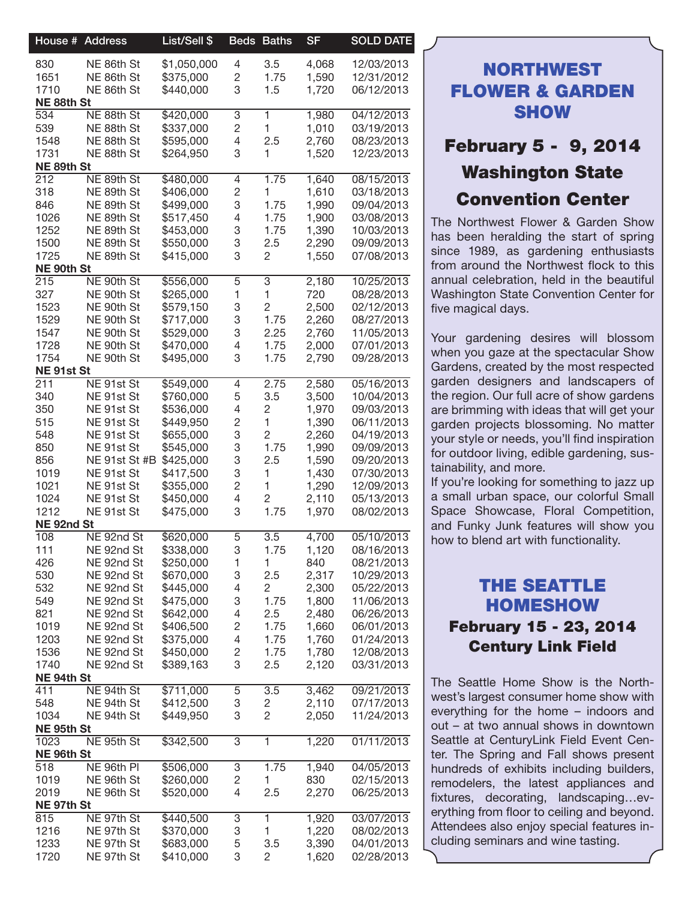| House # Address                                                                                                                                                                                                                                                                                                                                                                      | List/Sell \$                                                                                                                                                                                                                                                                                                                                                                                                                                                                                                                                                                                                                                                                                                                                                       |                                                                                                                                                                                                                                                                                                                                                                                                                                                                                                                                         |                                                                                                                                                                                                                                                                                                                                                                                                                                                                                                                                                                                                                                                                                                                                                            | <b>SF</b>                                                                                                                                                                                                                                                                                                                                                  | <b>SOLD DATE</b>                                                                                                                                                                                                                                                                                                                      |
|--------------------------------------------------------------------------------------------------------------------------------------------------------------------------------------------------------------------------------------------------------------------------------------------------------------------------------------------------------------------------------------|--------------------------------------------------------------------------------------------------------------------------------------------------------------------------------------------------------------------------------------------------------------------------------------------------------------------------------------------------------------------------------------------------------------------------------------------------------------------------------------------------------------------------------------------------------------------------------------------------------------------------------------------------------------------------------------------------------------------------------------------------------------------|-----------------------------------------------------------------------------------------------------------------------------------------------------------------------------------------------------------------------------------------------------------------------------------------------------------------------------------------------------------------------------------------------------------------------------------------------------------------------------------------------------------------------------------------|------------------------------------------------------------------------------------------------------------------------------------------------------------------------------------------------------------------------------------------------------------------------------------------------------------------------------------------------------------------------------------------------------------------------------------------------------------------------------------------------------------------------------------------------------------------------------------------------------------------------------------------------------------------------------------------------------------------------------------------------------------|------------------------------------------------------------------------------------------------------------------------------------------------------------------------------------------------------------------------------------------------------------------------------------------------------------------------------------------------------------|---------------------------------------------------------------------------------------------------------------------------------------------------------------------------------------------------------------------------------------------------------------------------------------------------------------------------------------|
|                                                                                                                                                                                                                                                                                                                                                                                      |                                                                                                                                                                                                                                                                                                                                                                                                                                                                                                                                                                                                                                                                                                                                                                    |                                                                                                                                                                                                                                                                                                                                                                                                                                                                                                                                         |                                                                                                                                                                                                                                                                                                                                                                                                                                                                                                                                                                                                                                                                                                                                                            |                                                                                                                                                                                                                                                                                                                                                            | 12/03/2013                                                                                                                                                                                                                                                                                                                            |
|                                                                                                                                                                                                                                                                                                                                                                                      |                                                                                                                                                                                                                                                                                                                                                                                                                                                                                                                                                                                                                                                                                                                                                                    |                                                                                                                                                                                                                                                                                                                                                                                                                                                                                                                                         |                                                                                                                                                                                                                                                                                                                                                                                                                                                                                                                                                                                                                                                                                                                                                            |                                                                                                                                                                                                                                                                                                                                                            | 12/31/2012                                                                                                                                                                                                                                                                                                                            |
| 1710                                                                                                                                                                                                                                                                                                                                                                                 | \$440,000                                                                                                                                                                                                                                                                                                                                                                                                                                                                                                                                                                                                                                                                                                                                                          | 3                                                                                                                                                                                                                                                                                                                                                                                                                                                                                                                                       | 1.5                                                                                                                                                                                                                                                                                                                                                                                                                                                                                                                                                                                                                                                                                                                                                        | 1,720                                                                                                                                                                                                                                                                                                                                                      | 06/12/2013                                                                                                                                                                                                                                                                                                                            |
| NE 88th St                                                                                                                                                                                                                                                                                                                                                                           |                                                                                                                                                                                                                                                                                                                                                                                                                                                                                                                                                                                                                                                                                                                                                                    |                                                                                                                                                                                                                                                                                                                                                                                                                                                                                                                                         |                                                                                                                                                                                                                                                                                                                                                                                                                                                                                                                                                                                                                                                                                                                                                            |                                                                                                                                                                                                                                                                                                                                                            |                                                                                                                                                                                                                                                                                                                                       |
|                                                                                                                                                                                                                                                                                                                                                                                      |                                                                                                                                                                                                                                                                                                                                                                                                                                                                                                                                                                                                                                                                                                                                                                    | 3                                                                                                                                                                                                                                                                                                                                                                                                                                                                                                                                       |                                                                                                                                                                                                                                                                                                                                                                                                                                                                                                                                                                                                                                                                                                                                                            | 1,980                                                                                                                                                                                                                                                                                                                                                      | 04/12/2013                                                                                                                                                                                                                                                                                                                            |
|                                                                                                                                                                                                                                                                                                                                                                                      |                                                                                                                                                                                                                                                                                                                                                                                                                                                                                                                                                                                                                                                                                                                                                                    |                                                                                                                                                                                                                                                                                                                                                                                                                                                                                                                                         |                                                                                                                                                                                                                                                                                                                                                                                                                                                                                                                                                                                                                                                                                                                                                            |                                                                                                                                                                                                                                                                                                                                                            | 03/19/2013                                                                                                                                                                                                                                                                                                                            |
|                                                                                                                                                                                                                                                                                                                                                                                      |                                                                                                                                                                                                                                                                                                                                                                                                                                                                                                                                                                                                                                                                                                                                                                    |                                                                                                                                                                                                                                                                                                                                                                                                                                                                                                                                         |                                                                                                                                                                                                                                                                                                                                                                                                                                                                                                                                                                                                                                                                                                                                                            |                                                                                                                                                                                                                                                                                                                                                            | 08/23/2013                                                                                                                                                                                                                                                                                                                            |
|                                                                                                                                                                                                                                                                                                                                                                                      |                                                                                                                                                                                                                                                                                                                                                                                                                                                                                                                                                                                                                                                                                                                                                                    |                                                                                                                                                                                                                                                                                                                                                                                                                                                                                                                                         |                                                                                                                                                                                                                                                                                                                                                                                                                                                                                                                                                                                                                                                                                                                                                            |                                                                                                                                                                                                                                                                                                                                                            | 12/23/2013                                                                                                                                                                                                                                                                                                                            |
|                                                                                                                                                                                                                                                                                                                                                                                      |                                                                                                                                                                                                                                                                                                                                                                                                                                                                                                                                                                                                                                                                                                                                                                    |                                                                                                                                                                                                                                                                                                                                                                                                                                                                                                                                         |                                                                                                                                                                                                                                                                                                                                                                                                                                                                                                                                                                                                                                                                                                                                                            |                                                                                                                                                                                                                                                                                                                                                            | 08/15/2013                                                                                                                                                                                                                                                                                                                            |
|                                                                                                                                                                                                                                                                                                                                                                                      |                                                                                                                                                                                                                                                                                                                                                                                                                                                                                                                                                                                                                                                                                                                                                                    |                                                                                                                                                                                                                                                                                                                                                                                                                                                                                                                                         |                                                                                                                                                                                                                                                                                                                                                                                                                                                                                                                                                                                                                                                                                                                                                            |                                                                                                                                                                                                                                                                                                                                                            | 03/18/2013                                                                                                                                                                                                                                                                                                                            |
|                                                                                                                                                                                                                                                                                                                                                                                      |                                                                                                                                                                                                                                                                                                                                                                                                                                                                                                                                                                                                                                                                                                                                                                    |                                                                                                                                                                                                                                                                                                                                                                                                                                                                                                                                         |                                                                                                                                                                                                                                                                                                                                                                                                                                                                                                                                                                                                                                                                                                                                                            |                                                                                                                                                                                                                                                                                                                                                            | 09/04/2013                                                                                                                                                                                                                                                                                                                            |
|                                                                                                                                                                                                                                                                                                                                                                                      |                                                                                                                                                                                                                                                                                                                                                                                                                                                                                                                                                                                                                                                                                                                                                                    |                                                                                                                                                                                                                                                                                                                                                                                                                                                                                                                                         |                                                                                                                                                                                                                                                                                                                                                                                                                                                                                                                                                                                                                                                                                                                                                            |                                                                                                                                                                                                                                                                                                                                                            | 03/08/2013                                                                                                                                                                                                                                                                                                                            |
|                                                                                                                                                                                                                                                                                                                                                                                      |                                                                                                                                                                                                                                                                                                                                                                                                                                                                                                                                                                                                                                                                                                                                                                    |                                                                                                                                                                                                                                                                                                                                                                                                                                                                                                                                         |                                                                                                                                                                                                                                                                                                                                                                                                                                                                                                                                                                                                                                                                                                                                                            |                                                                                                                                                                                                                                                                                                                                                            | 10/03/2013                                                                                                                                                                                                                                                                                                                            |
|                                                                                                                                                                                                                                                                                                                                                                                      |                                                                                                                                                                                                                                                                                                                                                                                                                                                                                                                                                                                                                                                                                                                                                                    |                                                                                                                                                                                                                                                                                                                                                                                                                                                                                                                                         |                                                                                                                                                                                                                                                                                                                                                                                                                                                                                                                                                                                                                                                                                                                                                            |                                                                                                                                                                                                                                                                                                                                                            | 09/09/2013                                                                                                                                                                                                                                                                                                                            |
|                                                                                                                                                                                                                                                                                                                                                                                      |                                                                                                                                                                                                                                                                                                                                                                                                                                                                                                                                                                                                                                                                                                                                                                    |                                                                                                                                                                                                                                                                                                                                                                                                                                                                                                                                         |                                                                                                                                                                                                                                                                                                                                                                                                                                                                                                                                                                                                                                                                                                                                                            |                                                                                                                                                                                                                                                                                                                                                            | 07/08/2013                                                                                                                                                                                                                                                                                                                            |
|                                                                                                                                                                                                                                                                                                                                                                                      |                                                                                                                                                                                                                                                                                                                                                                                                                                                                                                                                                                                                                                                                                                                                                                    |                                                                                                                                                                                                                                                                                                                                                                                                                                                                                                                                         |                                                                                                                                                                                                                                                                                                                                                                                                                                                                                                                                                                                                                                                                                                                                                            |                                                                                                                                                                                                                                                                                                                                                            |                                                                                                                                                                                                                                                                                                                                       |
|                                                                                                                                                                                                                                                                                                                                                                                      |                                                                                                                                                                                                                                                                                                                                                                                                                                                                                                                                                                                                                                                                                                                                                                    |                                                                                                                                                                                                                                                                                                                                                                                                                                                                                                                                         |                                                                                                                                                                                                                                                                                                                                                                                                                                                                                                                                                                                                                                                                                                                                                            |                                                                                                                                                                                                                                                                                                                                                            | 10/25/2013                                                                                                                                                                                                                                                                                                                            |
|                                                                                                                                                                                                                                                                                                                                                                                      |                                                                                                                                                                                                                                                                                                                                                                                                                                                                                                                                                                                                                                                                                                                                                                    |                                                                                                                                                                                                                                                                                                                                                                                                                                                                                                                                         | 1                                                                                                                                                                                                                                                                                                                                                                                                                                                                                                                                                                                                                                                                                                                                                          |                                                                                                                                                                                                                                                                                                                                                            | 08/28/2013                                                                                                                                                                                                                                                                                                                            |
|                                                                                                                                                                                                                                                                                                                                                                                      |                                                                                                                                                                                                                                                                                                                                                                                                                                                                                                                                                                                                                                                                                                                                                                    |                                                                                                                                                                                                                                                                                                                                                                                                                                                                                                                                         |                                                                                                                                                                                                                                                                                                                                                                                                                                                                                                                                                                                                                                                                                                                                                            |                                                                                                                                                                                                                                                                                                                                                            | 02/12/2013                                                                                                                                                                                                                                                                                                                            |
| 1529                                                                                                                                                                                                                                                                                                                                                                                 |                                                                                                                                                                                                                                                                                                                                                                                                                                                                                                                                                                                                                                                                                                                                                                    |                                                                                                                                                                                                                                                                                                                                                                                                                                                                                                                                         | 1.75                                                                                                                                                                                                                                                                                                                                                                                                                                                                                                                                                                                                                                                                                                                                                       |                                                                                                                                                                                                                                                                                                                                                            | 08/27/2013                                                                                                                                                                                                                                                                                                                            |
| 1547                                                                                                                                                                                                                                                                                                                                                                                 | \$529,000                                                                                                                                                                                                                                                                                                                                                                                                                                                                                                                                                                                                                                                                                                                                                          | $\ensuremath{\mathsf{3}}$                                                                                                                                                                                                                                                                                                                                                                                                                                                                                                               | 2.25                                                                                                                                                                                                                                                                                                                                                                                                                                                                                                                                                                                                                                                                                                                                                       | 2,760                                                                                                                                                                                                                                                                                                                                                      | 11/05/2013                                                                                                                                                                                                                                                                                                                            |
| 1728                                                                                                                                                                                                                                                                                                                                                                                 |                                                                                                                                                                                                                                                                                                                                                                                                                                                                                                                                                                                                                                                                                                                                                                    |                                                                                                                                                                                                                                                                                                                                                                                                                                                                                                                                         | 1.75                                                                                                                                                                                                                                                                                                                                                                                                                                                                                                                                                                                                                                                                                                                                                       |                                                                                                                                                                                                                                                                                                                                                            | 07/01/2013                                                                                                                                                                                                                                                                                                                            |
| 1754                                                                                                                                                                                                                                                                                                                                                                                 | \$495,000                                                                                                                                                                                                                                                                                                                                                                                                                                                                                                                                                                                                                                                                                                                                                          | 3                                                                                                                                                                                                                                                                                                                                                                                                                                                                                                                                       | 1.75                                                                                                                                                                                                                                                                                                                                                                                                                                                                                                                                                                                                                                                                                                                                                       | 2,790                                                                                                                                                                                                                                                                                                                                                      | 09/28/2013                                                                                                                                                                                                                                                                                                                            |
| NE 91st St                                                                                                                                                                                                                                                                                                                                                                           |                                                                                                                                                                                                                                                                                                                                                                                                                                                                                                                                                                                                                                                                                                                                                                    |                                                                                                                                                                                                                                                                                                                                                                                                                                                                                                                                         |                                                                                                                                                                                                                                                                                                                                                                                                                                                                                                                                                                                                                                                                                                                                                            |                                                                                                                                                                                                                                                                                                                                                            |                                                                                                                                                                                                                                                                                                                                       |
| 211                                                                                                                                                                                                                                                                                                                                                                                  | \$549,000                                                                                                                                                                                                                                                                                                                                                                                                                                                                                                                                                                                                                                                                                                                                                          |                                                                                                                                                                                                                                                                                                                                                                                                                                                                                                                                         | 2.75                                                                                                                                                                                                                                                                                                                                                                                                                                                                                                                                                                                                                                                                                                                                                       | 2,580                                                                                                                                                                                                                                                                                                                                                      | 05/16/2013                                                                                                                                                                                                                                                                                                                            |
| 340                                                                                                                                                                                                                                                                                                                                                                                  | \$760,000                                                                                                                                                                                                                                                                                                                                                                                                                                                                                                                                                                                                                                                                                                                                                          |                                                                                                                                                                                                                                                                                                                                                                                                                                                                                                                                         | 3.5                                                                                                                                                                                                                                                                                                                                                                                                                                                                                                                                                                                                                                                                                                                                                        | 3,500                                                                                                                                                                                                                                                                                                                                                      | 10/04/2013                                                                                                                                                                                                                                                                                                                            |
|                                                                                                                                                                                                                                                                                                                                                                                      |                                                                                                                                                                                                                                                                                                                                                                                                                                                                                                                                                                                                                                                                                                                                                                    |                                                                                                                                                                                                                                                                                                                                                                                                                                                                                                                                         |                                                                                                                                                                                                                                                                                                                                                                                                                                                                                                                                                                                                                                                                                                                                                            |                                                                                                                                                                                                                                                                                                                                                            | 09/03/2013                                                                                                                                                                                                                                                                                                                            |
|                                                                                                                                                                                                                                                                                                                                                                                      |                                                                                                                                                                                                                                                                                                                                                                                                                                                                                                                                                                                                                                                                                                                                                                    |                                                                                                                                                                                                                                                                                                                                                                                                                                                                                                                                         | $\mathbf{1}$                                                                                                                                                                                                                                                                                                                                                                                                                                                                                                                                                                                                                                                                                                                                               |                                                                                                                                                                                                                                                                                                                                                            | 06/11/2013                                                                                                                                                                                                                                                                                                                            |
| 548                                                                                                                                                                                                                                                                                                                                                                                  | \$655,000                                                                                                                                                                                                                                                                                                                                                                                                                                                                                                                                                                                                                                                                                                                                                          |                                                                                                                                                                                                                                                                                                                                                                                                                                                                                                                                         | $\overline{c}$                                                                                                                                                                                                                                                                                                                                                                                                                                                                                                                                                                                                                                                                                                                                             | 2,260                                                                                                                                                                                                                                                                                                                                                      | 04/19/2013                                                                                                                                                                                                                                                                                                                            |
|                                                                                                                                                                                                                                                                                                                                                                                      |                                                                                                                                                                                                                                                                                                                                                                                                                                                                                                                                                                                                                                                                                                                                                                    |                                                                                                                                                                                                                                                                                                                                                                                                                                                                                                                                         |                                                                                                                                                                                                                                                                                                                                                                                                                                                                                                                                                                                                                                                                                                                                                            |                                                                                                                                                                                                                                                                                                                                                            | 09/09/2013                                                                                                                                                                                                                                                                                                                            |
|                                                                                                                                                                                                                                                                                                                                                                                      |                                                                                                                                                                                                                                                                                                                                                                                                                                                                                                                                                                                                                                                                                                                                                                    |                                                                                                                                                                                                                                                                                                                                                                                                                                                                                                                                         |                                                                                                                                                                                                                                                                                                                                                                                                                                                                                                                                                                                                                                                                                                                                                            |                                                                                                                                                                                                                                                                                                                                                            | 09/20/2013                                                                                                                                                                                                                                                                                                                            |
|                                                                                                                                                                                                                                                                                                                                                                                      |                                                                                                                                                                                                                                                                                                                                                                                                                                                                                                                                                                                                                                                                                                                                                                    |                                                                                                                                                                                                                                                                                                                                                                                                                                                                                                                                         |                                                                                                                                                                                                                                                                                                                                                                                                                                                                                                                                                                                                                                                                                                                                                            |                                                                                                                                                                                                                                                                                                                                                            | 07/30/2013                                                                                                                                                                                                                                                                                                                            |
|                                                                                                                                                                                                                                                                                                                                                                                      |                                                                                                                                                                                                                                                                                                                                                                                                                                                                                                                                                                                                                                                                                                                                                                    |                                                                                                                                                                                                                                                                                                                                                                                                                                                                                                                                         |                                                                                                                                                                                                                                                                                                                                                                                                                                                                                                                                                                                                                                                                                                                                                            |                                                                                                                                                                                                                                                                                                                                                            | 12/09/2013                                                                                                                                                                                                                                                                                                                            |
|                                                                                                                                                                                                                                                                                                                                                                                      |                                                                                                                                                                                                                                                                                                                                                                                                                                                                                                                                                                                                                                                                                                                                                                    |                                                                                                                                                                                                                                                                                                                                                                                                                                                                                                                                         |                                                                                                                                                                                                                                                                                                                                                                                                                                                                                                                                                                                                                                                                                                                                                            |                                                                                                                                                                                                                                                                                                                                                            | 05/13/2013                                                                                                                                                                                                                                                                                                                            |
| 1212                                                                                                                                                                                                                                                                                                                                                                                 |                                                                                                                                                                                                                                                                                                                                                                                                                                                                                                                                                                                                                                                                                                                                                                    | 3                                                                                                                                                                                                                                                                                                                                                                                                                                                                                                                                       | 1.75                                                                                                                                                                                                                                                                                                                                                                                                                                                                                                                                                                                                                                                                                                                                                       |                                                                                                                                                                                                                                                                                                                                                            | 08/02/2013                                                                                                                                                                                                                                                                                                                            |
| NE 92nd St                                                                                                                                                                                                                                                                                                                                                                           |                                                                                                                                                                                                                                                                                                                                                                                                                                                                                                                                                                                                                                                                                                                                                                    |                                                                                                                                                                                                                                                                                                                                                                                                                                                                                                                                         |                                                                                                                                                                                                                                                                                                                                                                                                                                                                                                                                                                                                                                                                                                                                                            |                                                                                                                                                                                                                                                                                                                                                            |                                                                                                                                                                                                                                                                                                                                       |
| 108                                                                                                                                                                                                                                                                                                                                                                                  | \$620,000                                                                                                                                                                                                                                                                                                                                                                                                                                                                                                                                                                                                                                                                                                                                                          | $\mathbf 5$                                                                                                                                                                                                                                                                                                                                                                                                                                                                                                                             | $\overline{3.5}$                                                                                                                                                                                                                                                                                                                                                                                                                                                                                                                                                                                                                                                                                                                                           | 4,700                                                                                                                                                                                                                                                                                                                                                      | 05/10/2013                                                                                                                                                                                                                                                                                                                            |
| 111                                                                                                                                                                                                                                                                                                                                                                                  | \$338,000                                                                                                                                                                                                                                                                                                                                                                                                                                                                                                                                                                                                                                                                                                                                                          | 3                                                                                                                                                                                                                                                                                                                                                                                                                                                                                                                                       | 1.75                                                                                                                                                                                                                                                                                                                                                                                                                                                                                                                                                                                                                                                                                                                                                       | 1,120                                                                                                                                                                                                                                                                                                                                                      | 08/16/2013                                                                                                                                                                                                                                                                                                                            |
| 426                                                                                                                                                                                                                                                                                                                                                                                  | \$250,000                                                                                                                                                                                                                                                                                                                                                                                                                                                                                                                                                                                                                                                                                                                                                          | $\mathbf{1}$                                                                                                                                                                                                                                                                                                                                                                                                                                                                                                                            | $\mathbf{1}$                                                                                                                                                                                                                                                                                                                                                                                                                                                                                                                                                                                                                                                                                                                                               | 840                                                                                                                                                                                                                                                                                                                                                        | 08/21/2013                                                                                                                                                                                                                                                                                                                            |
| 530                                                                                                                                                                                                                                                                                                                                                                                  | \$670,000                                                                                                                                                                                                                                                                                                                                                                                                                                                                                                                                                                                                                                                                                                                                                          | 3                                                                                                                                                                                                                                                                                                                                                                                                                                                                                                                                       |                                                                                                                                                                                                                                                                                                                                                                                                                                                                                                                                                                                                                                                                                                                                                            | 2,317                                                                                                                                                                                                                                                                                                                                                      | 10/29/2013                                                                                                                                                                                                                                                                                                                            |
| 532                                                                                                                                                                                                                                                                                                                                                                                  |                                                                                                                                                                                                                                                                                                                                                                                                                                                                                                                                                                                                                                                                                                                                                                    |                                                                                                                                                                                                                                                                                                                                                                                                                                                                                                                                         | $\overline{2}$                                                                                                                                                                                                                                                                                                                                                                                                                                                                                                                                                                                                                                                                                                                                             | 2,300                                                                                                                                                                                                                                                                                                                                                      | 05/22/2013                                                                                                                                                                                                                                                                                                                            |
| 549                                                                                                                                                                                                                                                                                                                                                                                  | \$475,000                                                                                                                                                                                                                                                                                                                                                                                                                                                                                                                                                                                                                                                                                                                                                          |                                                                                                                                                                                                                                                                                                                                                                                                                                                                                                                                         |                                                                                                                                                                                                                                                                                                                                                                                                                                                                                                                                                                                                                                                                                                                                                            | 1,800                                                                                                                                                                                                                                                                                                                                                      | 11/06/2013                                                                                                                                                                                                                                                                                                                            |
|                                                                                                                                                                                                                                                                                                                                                                                      | \$642,000                                                                                                                                                                                                                                                                                                                                                                                                                                                                                                                                                                                                                                                                                                                                                          |                                                                                                                                                                                                                                                                                                                                                                                                                                                                                                                                         |                                                                                                                                                                                                                                                                                                                                                                                                                                                                                                                                                                                                                                                                                                                                                            | 2,480                                                                                                                                                                                                                                                                                                                                                      | 06/26/2013                                                                                                                                                                                                                                                                                                                            |
| 1019                                                                                                                                                                                                                                                                                                                                                                                 | \$406,500                                                                                                                                                                                                                                                                                                                                                                                                                                                                                                                                                                                                                                                                                                                                                          |                                                                                                                                                                                                                                                                                                                                                                                                                                                                                                                                         |                                                                                                                                                                                                                                                                                                                                                                                                                                                                                                                                                                                                                                                                                                                                                            | 1,660                                                                                                                                                                                                                                                                                                                                                      | 06/01/2013                                                                                                                                                                                                                                                                                                                            |
| 1203                                                                                                                                                                                                                                                                                                                                                                                 | \$375,000                                                                                                                                                                                                                                                                                                                                                                                                                                                                                                                                                                                                                                                                                                                                                          |                                                                                                                                                                                                                                                                                                                                                                                                                                                                                                                                         |                                                                                                                                                                                                                                                                                                                                                                                                                                                                                                                                                                                                                                                                                                                                                            | 1,760                                                                                                                                                                                                                                                                                                                                                      | 01/24/2013                                                                                                                                                                                                                                                                                                                            |
|                                                                                                                                                                                                                                                                                                                                                                                      | \$450,000                                                                                                                                                                                                                                                                                                                                                                                                                                                                                                                                                                                                                                                                                                                                                          |                                                                                                                                                                                                                                                                                                                                                                                                                                                                                                                                         |                                                                                                                                                                                                                                                                                                                                                                                                                                                                                                                                                                                                                                                                                                                                                            | 1,780                                                                                                                                                                                                                                                                                                                                                      | 12/08/2013                                                                                                                                                                                                                                                                                                                            |
|                                                                                                                                                                                                                                                                                                                                                                                      |                                                                                                                                                                                                                                                                                                                                                                                                                                                                                                                                                                                                                                                                                                                                                                    |                                                                                                                                                                                                                                                                                                                                                                                                                                                                                                                                         |                                                                                                                                                                                                                                                                                                                                                                                                                                                                                                                                                                                                                                                                                                                                                            |                                                                                                                                                                                                                                                                                                                                                            | 03/31/2013                                                                                                                                                                                                                                                                                                                            |
|                                                                                                                                                                                                                                                                                                                                                                                      |                                                                                                                                                                                                                                                                                                                                                                                                                                                                                                                                                                                                                                                                                                                                                                    |                                                                                                                                                                                                                                                                                                                                                                                                                                                                                                                                         |                                                                                                                                                                                                                                                                                                                                                                                                                                                                                                                                                                                                                                                                                                                                                            |                                                                                                                                                                                                                                                                                                                                                            |                                                                                                                                                                                                                                                                                                                                       |
|                                                                                                                                                                                                                                                                                                                                                                                      |                                                                                                                                                                                                                                                                                                                                                                                                                                                                                                                                                                                                                                                                                                                                                                    |                                                                                                                                                                                                                                                                                                                                                                                                                                                                                                                                         |                                                                                                                                                                                                                                                                                                                                                                                                                                                                                                                                                                                                                                                                                                                                                            |                                                                                                                                                                                                                                                                                                                                                            | 09/21/2013                                                                                                                                                                                                                                                                                                                            |
|                                                                                                                                                                                                                                                                                                                                                                                      |                                                                                                                                                                                                                                                                                                                                                                                                                                                                                                                                                                                                                                                                                                                                                                    |                                                                                                                                                                                                                                                                                                                                                                                                                                                                                                                                         |                                                                                                                                                                                                                                                                                                                                                                                                                                                                                                                                                                                                                                                                                                                                                            |                                                                                                                                                                                                                                                                                                                                                            | 07/17/2013                                                                                                                                                                                                                                                                                                                            |
|                                                                                                                                                                                                                                                                                                                                                                                      |                                                                                                                                                                                                                                                                                                                                                                                                                                                                                                                                                                                                                                                                                                                                                                    |                                                                                                                                                                                                                                                                                                                                                                                                                                                                                                                                         |                                                                                                                                                                                                                                                                                                                                                                                                                                                                                                                                                                                                                                                                                                                                                            |                                                                                                                                                                                                                                                                                                                                                            | 11/24/2013                                                                                                                                                                                                                                                                                                                            |
|                                                                                                                                                                                                                                                                                                                                                                                      |                                                                                                                                                                                                                                                                                                                                                                                                                                                                                                                                                                                                                                                                                                                                                                    |                                                                                                                                                                                                                                                                                                                                                                                                                                                                                                                                         |                                                                                                                                                                                                                                                                                                                                                                                                                                                                                                                                                                                                                                                                                                                                                            |                                                                                                                                                                                                                                                                                                                                                            |                                                                                                                                                                                                                                                                                                                                       |
|                                                                                                                                                                                                                                                                                                                                                                                      |                                                                                                                                                                                                                                                                                                                                                                                                                                                                                                                                                                                                                                                                                                                                                                    |                                                                                                                                                                                                                                                                                                                                                                                                                                                                                                                                         |                                                                                                                                                                                                                                                                                                                                                                                                                                                                                                                                                                                                                                                                                                                                                            |                                                                                                                                                                                                                                                                                                                                                            | 01/11/2013                                                                                                                                                                                                                                                                                                                            |
|                                                                                                                                                                                                                                                                                                                                                                                      |                                                                                                                                                                                                                                                                                                                                                                                                                                                                                                                                                                                                                                                                                                                                                                    |                                                                                                                                                                                                                                                                                                                                                                                                                                                                                                                                         |                                                                                                                                                                                                                                                                                                                                                                                                                                                                                                                                                                                                                                                                                                                                                            |                                                                                                                                                                                                                                                                                                                                                            |                                                                                                                                                                                                                                                                                                                                       |
|                                                                                                                                                                                                                                                                                                                                                                                      |                                                                                                                                                                                                                                                                                                                                                                                                                                                                                                                                                                                                                                                                                                                                                                    |                                                                                                                                                                                                                                                                                                                                                                                                                                                                                                                                         |                                                                                                                                                                                                                                                                                                                                                                                                                                                                                                                                                                                                                                                                                                                                                            |                                                                                                                                                                                                                                                                                                                                                            | 04/05/2013                                                                                                                                                                                                                                                                                                                            |
|                                                                                                                                                                                                                                                                                                                                                                                      |                                                                                                                                                                                                                                                                                                                                                                                                                                                                                                                                                                                                                                                                                                                                                                    |                                                                                                                                                                                                                                                                                                                                                                                                                                                                                                                                         |                                                                                                                                                                                                                                                                                                                                                                                                                                                                                                                                                                                                                                                                                                                                                            |                                                                                                                                                                                                                                                                                                                                                            | 02/15/2013                                                                                                                                                                                                                                                                                                                            |
|                                                                                                                                                                                                                                                                                                                                                                                      |                                                                                                                                                                                                                                                                                                                                                                                                                                                                                                                                                                                                                                                                                                                                                                    |                                                                                                                                                                                                                                                                                                                                                                                                                                                                                                                                         |                                                                                                                                                                                                                                                                                                                                                                                                                                                                                                                                                                                                                                                                                                                                                            |                                                                                                                                                                                                                                                                                                                                                            | 06/25/2013                                                                                                                                                                                                                                                                                                                            |
|                                                                                                                                                                                                                                                                                                                                                                                      |                                                                                                                                                                                                                                                                                                                                                                                                                                                                                                                                                                                                                                                                                                                                                                    |                                                                                                                                                                                                                                                                                                                                                                                                                                                                                                                                         |                                                                                                                                                                                                                                                                                                                                                                                                                                                                                                                                                                                                                                                                                                                                                            |                                                                                                                                                                                                                                                                                                                                                            |                                                                                                                                                                                                                                                                                                                                       |
|                                                                                                                                                                                                                                                                                                                                                                                      |                                                                                                                                                                                                                                                                                                                                                                                                                                                                                                                                                                                                                                                                                                                                                                    |                                                                                                                                                                                                                                                                                                                                                                                                                                                                                                                                         |                                                                                                                                                                                                                                                                                                                                                                                                                                                                                                                                                                                                                                                                                                                                                            |                                                                                                                                                                                                                                                                                                                                                            | 03/07/2013                                                                                                                                                                                                                                                                                                                            |
|                                                                                                                                                                                                                                                                                                                                                                                      |                                                                                                                                                                                                                                                                                                                                                                                                                                                                                                                                                                                                                                                                                                                                                                    |                                                                                                                                                                                                                                                                                                                                                                                                                                                                                                                                         |                                                                                                                                                                                                                                                                                                                                                                                                                                                                                                                                                                                                                                                                                                                                                            |                                                                                                                                                                                                                                                                                                                                                            | 08/02/2013                                                                                                                                                                                                                                                                                                                            |
|                                                                                                                                                                                                                                                                                                                                                                                      |                                                                                                                                                                                                                                                                                                                                                                                                                                                                                                                                                                                                                                                                                                                                                                    |                                                                                                                                                                                                                                                                                                                                                                                                                                                                                                                                         |                                                                                                                                                                                                                                                                                                                                                                                                                                                                                                                                                                                                                                                                                                                                                            |                                                                                                                                                                                                                                                                                                                                                            | 04/01/2013                                                                                                                                                                                                                                                                                                                            |
|                                                                                                                                                                                                                                                                                                                                                                                      |                                                                                                                                                                                                                                                                                                                                                                                                                                                                                                                                                                                                                                                                                                                                                                    |                                                                                                                                                                                                                                                                                                                                                                                                                                                                                                                                         |                                                                                                                                                                                                                                                                                                                                                                                                                                                                                                                                                                                                                                                                                                                                                            |                                                                                                                                                                                                                                                                                                                                                            | 02/28/2013                                                                                                                                                                                                                                                                                                                            |
| 830<br>1651<br>534<br>539<br>1548<br>1731<br>NE 89th St<br>212<br>318<br>846<br>1026<br>1252<br>1500<br>1725<br>NE 90th St<br>215<br>327<br>1523<br>350<br>515<br>850<br>856<br>1019<br>1021<br>1024<br>821<br>1536<br>1740<br>NE 94th St<br>411<br>548<br>1034<br>NE 95th St<br>1023<br>NE 96th St<br>$\overline{518}$<br>1019<br>2019<br>NE 97th St<br>815<br>1216<br>1233<br>1720 | NE 86th St<br>NE 86th St<br>NE 86th St<br>NE 88th St<br>NE 88th St<br>NE 88th St<br>NE 88th St<br>NE 89th St<br>NE 89th St<br>NE 89th St<br>NE 89th St<br>NE 89th St<br>NE 89th St<br>NE 89th St<br>NE 90th St<br>NE 90th St<br>NE 90th St<br>NE 90th St<br>NE 90th St<br>NE 90th St<br>NE 90th St<br>NE 91st St<br>NE 91st St<br>NE 91st St<br>NE 91st St<br>NE 91st St<br>NE 91st St<br>NE 91st St<br>NE 91st St<br>NE 91st St<br>NE 91st St<br>NE 92nd St<br>NE 92nd St<br>NE 92nd St<br>NE 92nd St<br>NE 92nd St<br>NE 92nd St<br>NE 92nd St<br>NE 92nd St<br>NE 92nd St<br>NE 92nd St<br>NE 92nd St<br>NE 94th St<br>NE 94th St<br>NE 94th St<br>NE 95th St<br>NE 96th PI<br>NE 96th St<br>NE 96th St<br>NE 97th St<br>NE 97th St<br>NE 97th St<br>NE 97th St | \$1,050,000<br>\$375,000<br>\$420,000<br>\$337,000<br>\$595,000<br>\$264,950<br>\$480,000<br>\$406,000<br>\$499,000<br>\$517,450<br>\$453,000<br>\$550,000<br>\$415,000<br>\$556,000<br>\$265,000<br>\$579,150<br>\$717,000<br>\$470,000<br>\$536,000<br>\$449,950<br>\$545,000<br>NE 91st St #B \$425,000<br>\$417,500<br>\$355,000<br>\$450,000<br>\$475,000<br>\$445,000<br>\$389,163<br>\$711,000<br>\$412,500<br>\$449,950<br>\$342,500<br>\$506,000<br>\$260,000<br>\$520,000<br>\$440,500<br>\$370,000<br>\$683,000<br>\$410,000 | 4<br>$\sqrt{2}$<br>$\overline{c}$<br>$\overline{4}$<br>$\,3$<br>4<br>$\sqrt{2}$<br>$\ensuremath{\mathsf{3}}$<br>$\overline{4}$<br>$\ensuremath{\mathsf{3}}$<br>3<br>$\,3$<br>5<br>$\mathbf{1}$<br>$\ensuremath{\mathsf{3}}$<br>$\ensuremath{\mathsf{3}}$<br>$\overline{4}$<br>$\overline{4}$<br>$\mathbf 5$<br>$\overline{\mathcal{L}}$<br>$\frac{2}{3}$<br>$\ensuremath{\mathsf{3}}$<br>$\ensuremath{\mathsf{3}}$<br>$\ensuremath{\mathsf{3}}$<br>$\sqrt{2}$<br>$\overline{\mathcal{L}}$<br>$\overline{4}$<br>3<br>$\overline{4}$<br>$\overline{c}$<br>$\overline{4}$<br>$\sqrt{2}$<br>3<br>5<br>$\ensuremath{\mathsf{3}}$<br>3<br>$\overline{3}$<br>3<br>$\overline{\mathbf{c}}$<br>$\overline{4}$<br>3<br>$\ensuremath{\mathsf{3}}$<br>$\mathbf 5$<br>3 | <b>Beds Baths</b><br>3.5<br>1.75<br>$\mathbf{1}$<br>2.5<br>1.75<br>1.<br>1.75<br>1.75<br>1.75<br>2.5<br>$\overline{2}$<br>3<br>$\overline{c}$<br>$\overline{c}$<br>1.75<br>2.5<br>1.<br>$\mathbf{1}$<br>2<br>2.5<br>1.75<br>2.5<br>1.75<br>1.75<br>1.75<br>2.5<br>3.5<br>2<br>$\overline{c}$<br>1.<br>1.75<br>$\mathbf{1}$<br>2.5<br>3.5<br>$\overline{c}$ | 4,068<br>1,590<br>1,010<br>2,760<br>1,520<br>1,640<br>1,610<br>1,990<br>1,900<br>1,390<br>2,290<br>1,550<br>2,180<br>720<br>2,500<br>2,260<br>2,000<br>1,970<br>1,390<br>1,990<br>1,590<br>1,430<br>1,290<br>2,110<br>1,970<br>2,120<br>3,462<br>2,110<br>2,050<br>1,220<br>1,940<br>830<br>2,270<br>1,920<br>1,220<br>3,390<br>1,620 |

## NORTHWEST FLOWER & GARDEN **SHOW**

# February 5 - 9, 2014 Washington State Convention Center

The Northwest Flower & Garden Show has been heralding the start of spring since 1989, as gardening enthusiasts from around the Northwest flock to this annual celebration, held in the beautiful Washington State Convention Center for five magical days.

Your gardening desires will blossom when you gaze at the spectacular Show Gardens, created by the most respected garden designers and landscapers of the region. Our full acre of show gardens are brimming with ideas that will get your garden projects blossoming. No matter your style or needs, you'll find inspiration for outdoor living, edible gardening, sustainability, and more.

If you're looking for something to jazz up a small urban space, our colorful Small Space Showcase, Floral Competition, and Funky Junk features will show you how to blend art with functionality.

### THE SEATTLE **HOMESHOW** February 15 - 23, 2014 Century Link Field

The Seattle Home Show is the Northwest's largest consumer home show with everything for the home – indoors and out – at two annual shows in downtown Seattle at CenturyLink Field Event Center. The Spring and Fall shows present hundreds of exhibits including builders, remodelers, the latest appliances and fixtures, decorating, landscaping…everything from floor to ceiling and beyond. Attendees also enjoy special features including seminars and wine tasting.